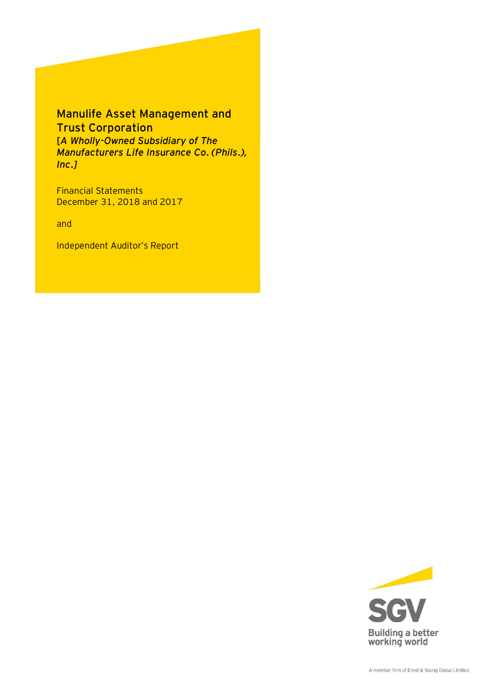# Manulife Asset Management and Trust Corporation [*A Wholly-Owned Subsidiary of The Manufacturers Life Insurance Co. (Phils.), Inc.]*

Financial Statements December 31, 2018 and 2017

and

Independent Auditor's Report

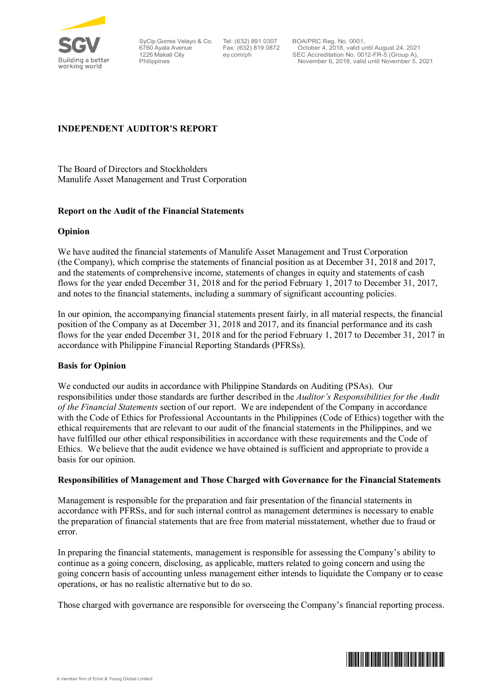

SyCip Gorres Velayo & Co. 6760 Ayala Avenue 1226 Makati City Philippines

Tel: (632) 891 0307 Fax: (632) 819 0872 ey.com/ph

BOA/PRC Reg. No. 0001, October 4, 2018, valid until August 24, 2021 SEC Accreditation No. 0012-FR-5 (Group A), November 6, 2018, valid until November 5, 2021

## **INDEPENDENT AUDITOR'S REPORT**

The Board of Directors and Stockholders Manulife Asset Management and Trust Corporation

## **Report on the Audit of the Financial Statements**

## **Opinion**

We have audited the financial statements of Manulife Asset Management and Trust Corporation (the Company), which comprise the statements of financial position as at December 31, 2018 and 2017, and the statements of comprehensive income, statements of changes in equity and statements of cash flows for the year ended December 31, 2018 and for the period February 1, 2017 to December 31, 2017, and notes to the financial statements, including a summary of significant accounting policies.

In our opinion, the accompanying financial statements present fairly, in all material respects, the financial position of the Company as at December 31, 2018 and 2017, and its financial performance and its cash flows for the year ended December 31, 2018 and for the period February 1, 2017 to December 31, 2017 in accordance with Philippine Financial Reporting Standards (PFRSs).

## **Basis for Opinion**

We conducted our audits in accordance with Philippine Standards on Auditing (PSAs). Our responsibilities under those standards are further described in the *Auditor's Responsibilities for the Audit of the Financial Statements* section of our report. We are independent of the Company in accordance with the Code of Ethics for Professional Accountants in the Philippines (Code of Ethics) together with the ethical requirements that are relevant to our audit of the financial statements in the Philippines, and we have fulfilled our other ethical responsibilities in accordance with these requirements and the Code of Ethics. We believe that the audit evidence we have obtained is sufficient and appropriate to provide a basis for our opinion.

## **Responsibilities of Management and Those Charged with Governance for the Financial Statements**

Management is responsible for the preparation and fair presentation of the financial statements in accordance with PFRSs, and for such internal control as management determines is necessary to enable the preparation of financial statements that are free from material misstatement, whether due to fraud or error.

In preparing the financial statements, management is responsible for assessing the Company's ability to continue as a going concern, disclosing, as applicable, matters related to going concern and using the going concern basis of accounting unless management either intends to liquidate the Company or to cease operations, or has no realistic alternative but to do so.

Those charged with governance are responsible for overseeing the Company's financial reporting process.

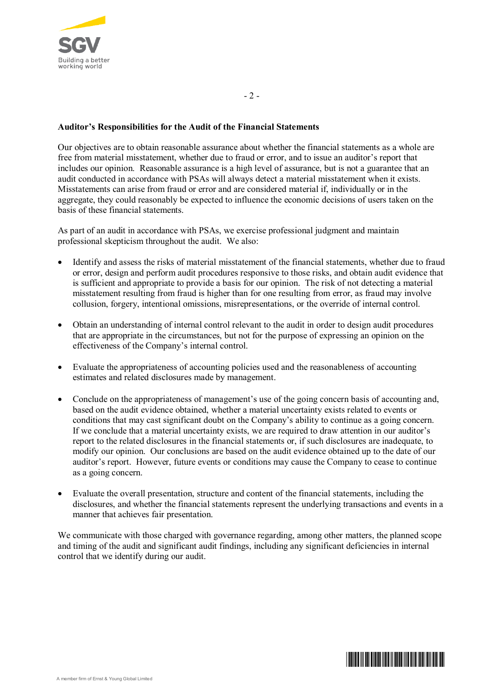

## **Auditor's Responsibilities for the Audit of the Financial Statements**

Our objectives are to obtain reasonable assurance about whether the financial statements as a whole are free from material misstatement, whether due to fraud or error, and to issue an auditor's report that includes our opinion. Reasonable assurance is a high level of assurance, but is not a guarantee that an audit conducted in accordance with PSAs will always detect a material misstatement when it exists. Misstatements can arise from fraud or error and are considered material if, individually or in the aggregate, they could reasonably be expected to influence the economic decisions of users taken on the basis of these financial statements.

As part of an audit in accordance with PSAs, we exercise professional judgment and maintain professional skepticism throughout the audit. We also:

- ∂ Identify and assess the risks of material misstatement of the financial statements, whether due to fraud or error, design and perform audit procedures responsive to those risks, and obtain audit evidence that is sufficient and appropriate to provide a basis for our opinion. The risk of not detecting a material misstatement resulting from fraud is higher than for one resulting from error, as fraud may involve collusion, forgery, intentional omissions, misrepresentations, or the override of internal control.
- ∂ Obtain an understanding of internal control relevant to the audit in order to design audit procedures that are appropriate in the circumstances, but not for the purpose of expressing an opinion on the effectiveness of the Company's internal control.
- ∂ Evaluate the appropriateness of accounting policies used and the reasonableness of accounting estimates and related disclosures made by management.
- ∂ Conclude on the appropriateness of management's use of the going concern basis of accounting and, based on the audit evidence obtained, whether a material uncertainty exists related to events or conditions that may cast significant doubt on the Company's ability to continue as a going concern. If we conclude that a material uncertainty exists, we are required to draw attention in our auditor's report to the related disclosures in the financial statements or, if such disclosures are inadequate, to modify our opinion. Our conclusions are based on the audit evidence obtained up to the date of our auditor's report. However, future events or conditions may cause the Company to cease to continue as a going concern.
- ∂ Evaluate the overall presentation, structure and content of the financial statements, including the disclosures, and whether the financial statements represent the underlying transactions and events in a manner that achieves fair presentation.

We communicate with those charged with governance regarding, among other matters, the planned scope and timing of the audit and significant audit findings, including any significant deficiencies in internal control that we identify during our audit.

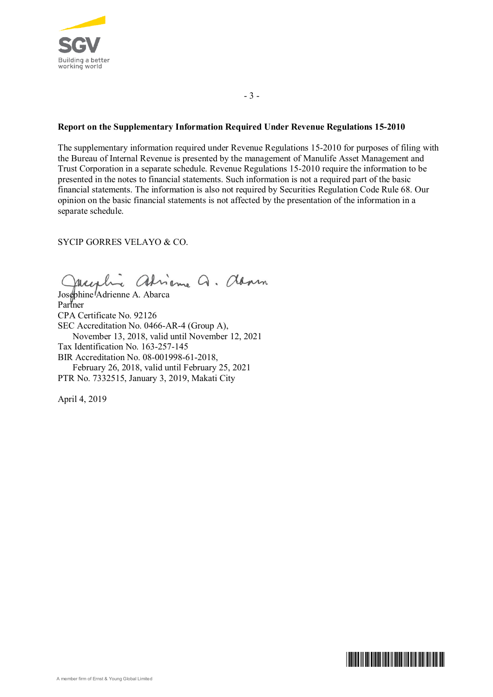

- 3 -

## **Report on the Supplementary Information Required Under Revenue Regulations 15-2010**

The supplementary information required under Revenue Regulations 15-2010 for purposes of filing with the Bureau of Internal Revenue is presented by the management of Manulife Asset Management and Trust Corporation in a separate schedule. Revenue Regulations 15-2010 require the information to be presented in the notes to financial statements. Such information is not a required part of the basic financial statements. The information is also not required by Securities Regulation Code Rule 68. Our opinion on the basic financial statements is not affected by the presentation of the information in a separate schedule.

## SYCIP GORRES VELAYO & CO.

adrienne Q. dann Mass

Josephine Adrienne A. Abarca Partner CPA Certificate No. 92126 SEC Accreditation No. 0466-AR-4 (Group A), November 13, 2018, valid until November 12, 2021 Tax Identification No. 163-257-145 BIR Accreditation No. 08-001998-61-2018, February 26, 2018, valid until February 25, 2021 PTR No. 7332515, January 3, 2019, Makati City

April 4, 2019

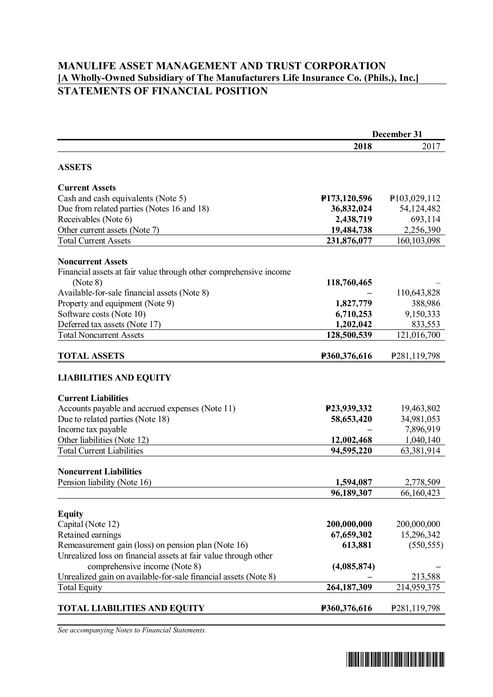# **MANULIFE ASSET MANAGEMENT AND TRUST CORPORATION [A Wholly-Owned Subsidiary of The Manufacturers Life Insurance Co. (Phils.), Inc.] STATEMENTS OF FINANCIAL POSITION**

|                                                                   | December 31                 |                             |
|-------------------------------------------------------------------|-----------------------------|-----------------------------|
|                                                                   | 2018                        | 2017                        |
| <b>ASSETS</b>                                                     |                             |                             |
| <b>Current Assets</b>                                             |                             |                             |
| Cash and cash equivalents (Note 5)                                | P <sub>173</sub> , 120, 596 | P103,029,112                |
| Due from related parties (Notes 16 and 18)                        | 36,832,024                  | 54,124,482                  |
| Receivables (Note 6)                                              | 2,438,719                   | 693,114                     |
| Other current assets (Note 7)                                     | 19,484,738                  | 2,256,390                   |
| <b>Total Current Assets</b>                                       | 231,876,077                 | 160, 103, 098               |
| <b>Noncurrent Assets</b>                                          |                             |                             |
| Financial assets at fair value through other comprehensive income |                             |                             |
| (Note 8)                                                          | 118,760,465                 |                             |
| Available-for-sale financial assets (Note 8)                      |                             | 110,643,828                 |
| Property and equipment (Note 9)                                   | 1,827,779                   | 388,986                     |
| Software costs (Note 10)                                          | 6,710,253                   | 9,150,333                   |
| Deferred tax assets (Note 17)                                     | 1,202,042                   | 833,553                     |
| <b>Total Noncurrent Assets</b>                                    | 128,500,539                 | 121,016,700                 |
| <b>TOTAL ASSETS</b>                                               | P360,376,616                | P <sub>281</sub> , 119, 798 |
| <b>LIABILITIES AND EQUITY</b>                                     |                             |                             |
| <b>Current Liabilities</b>                                        |                             |                             |
| Accounts payable and accrued expenses (Note 11)                   | P23,939,332                 | 19,463,802                  |
| Due to related parties (Note 18)                                  | 58,653,420                  | 34,981,053                  |
| Income tax payable                                                |                             | 7,896,919                   |
| Other liabilities (Note 12)                                       | 12,002,468                  | 1,040,140                   |
| <b>Total Current Liabilities</b>                                  | 94,595,220                  | 63,381,914                  |
| <b>Noncurrent Liabilities</b>                                     |                             |                             |
| Pension liability (Note 16)                                       | 1,594,087                   | 2,778,509                   |
|                                                                   | 96,189,307                  | 66,160,423                  |
| <b>Equity</b>                                                     |                             |                             |
| Capital (Note 12)                                                 | 200,000,000                 | 200,000,000                 |
| Retained earnings                                                 | 67,659,302                  | 15,296,342                  |
| Remeasurement gain (loss) on pension plan (Note 16)               | 613,881                     | (550, 555)                  |
| Unrealized loss on financial assets at fair value through other   |                             |                             |
| comprehensive income (Note 8)                                     | (4,085,874)                 |                             |
| Unrealized gain on available-for-sale financial assets (Note 8)   |                             | 213,588                     |
| <b>Total Equity</b>                                               | 264,187,309                 | 214,959,375                 |
| TOTAL LIABILITIES AND EQUITY                                      | P360,376,616                | P <sub>281</sub> ,119,798   |

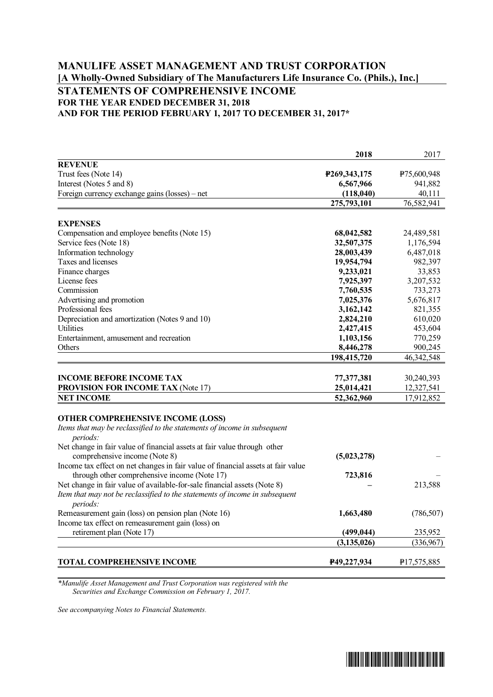# **MANULIFE ASSET MANAGEMENT AND TRUST CORPORATION [A Wholly-Owned Subsidiary of The Manufacturers Life Insurance Co. (Phils.), Inc.] STATEMENTS OF COMPREHENSIVE INCOME FOR THE YEAR ENDED DECEMBER 31, 2018 AND FOR THE PERIOD FEBRUARY 1, 2017 TO DECEMBER 31, 2017\***

|                                                                                         | 2018                   | 2017               |
|-----------------------------------------------------------------------------------------|------------------------|--------------------|
| <b>REVENUE</b>                                                                          |                        |                    |
| Trust fees (Note 14)                                                                    | P269,343,175           | P75,600,948        |
| Interest (Notes 5 and 8)                                                                | 6,567,966              | 941,882            |
| Foreign currency exchange gains (losses) – net                                          | (118,040)              | 40,111             |
|                                                                                         | 275,793,101            | 76,582,941         |
|                                                                                         |                        |                    |
| <b>EXPENSES</b>                                                                         |                        |                    |
| Compensation and employee benefits (Note 15)                                            | 68,042,582             | 24,489,581         |
| Service fees (Note 18)                                                                  | 32,507,375             | 1,176,594          |
| Information technology<br>Taxes and licenses                                            | 28,003,439             | 6,487,018          |
|                                                                                         | 19,954,794             | 982,397            |
| Finance charges<br>License fees                                                         | 9,233,021              | 33,853             |
| Commission                                                                              | 7,925,397              | 3,207,532          |
|                                                                                         | 7,760,535              | 733,273            |
| Advertising and promotion<br>Professional fees                                          | 7,025,376              | 5,676,817          |
|                                                                                         | 3,162,142              | 821,355            |
| Depreciation and amortization (Notes 9 and 10)<br>Utilities                             | 2,824,210              | 610,020            |
| Entertainment, amusement and recreation                                                 | 2,427,415              | 453,604            |
| Others                                                                                  | 1,103,156<br>8,446,278 | 770,259<br>900,245 |
|                                                                                         | 198,415,720            | 46, 342, 548       |
|                                                                                         |                        |                    |
| <b>INCOME BEFORE INCOME TAX</b>                                                         | 77,377,381             | 30,240,393         |
| <b>PROVISION FOR INCOME TAX (Note 17)</b>                                               | 25,014,421             | 12,327,541         |
| <b>NET INCOME</b>                                                                       | 52,362,960             | 17,912,852         |
|                                                                                         |                        |                    |
| <b>OTHER COMPREHENSIVE INCOME (LOSS)</b>                                                |                        |                    |
| Items that may be reclassified to the statements of income in subsequent                |                        |                    |
| periods:                                                                                |                        |                    |
| Net change in fair value of financial assets at fair value through other                |                        |                    |
| comprehensive income (Note 8)                                                           | (5,023,278)            |                    |
| Income tax effect on net changes in fair value of financial assets at fair value        |                        |                    |
| through other comprehensive income (Note 17)                                            | 723,816                |                    |
| Net change in fair value of available-for-sale financial assets (Note 8)                |                        | 213,588            |
| Item that may not be reclassified to the statements of income in subsequent<br>periods: |                        |                    |
| Remeasurement gain (loss) on pension plan (Note 16)                                     | 1,663,480              | (786, 507)         |
| Income tax effect on remeasurement gain (loss) on                                       |                        |                    |
| retirement plan (Note 17)                                                               | (499, 044)             | 235,952            |
|                                                                                         | (3, 135, 026)          | (336,967)          |
|                                                                                         |                        |                    |
| TOTAL COMPREHENSIVE INCOME                                                              | P49,227,934            | P17,575,885        |

*\*Manulife Asset Management and Trust Corporation was registered with the Securities and Exchange Commission on February 1, 2017.*

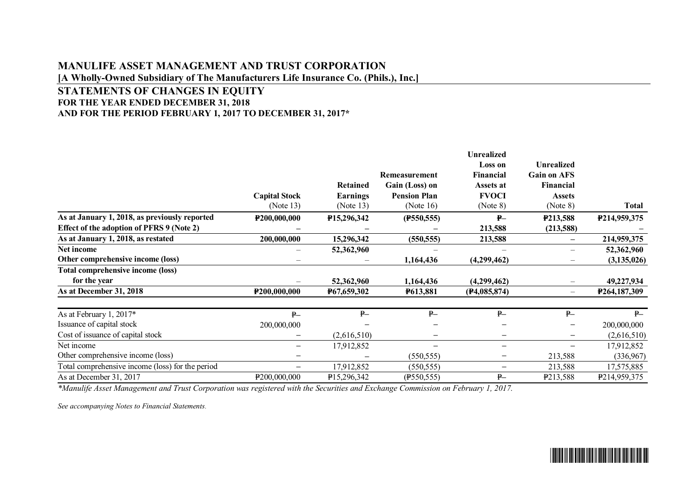# **MANULIFE ASSET MANAGEMENT AND TRUST CORPORATION [A Wholly-Owned Subsidiary of The Manufacturers Life Insurance Co. (Phils.), Inc.]**

## **STATEMENTS OF CHANGES IN EQUITY FOR THE YEAR ENDED DECEMBER 31, 2018 AND FOR THE PERIOD FEBRUARY 1, 2017 TO DECEMBER 31, 2017\***

|                                                  |                          |                 |                     | <b>Unrealized</b>           |                                         |                           |
|--------------------------------------------------|--------------------------|-----------------|---------------------|-----------------------------|-----------------------------------------|---------------------------|
|                                                  |                          |                 | Remeasurement       | <b>Loss on</b><br>Financial | <b>Unrealized</b><br><b>Gain on AFS</b> |                           |
|                                                  |                          | <b>Retained</b> | Gain (Loss) on      | Assets at                   | Financial                               |                           |
|                                                  | <b>Capital Stock</b>     | <b>Earnings</b> | <b>Pension Plan</b> | <b>FVOCI</b>                | <b>Assets</b>                           |                           |
|                                                  | (Note 13)                | (Note $13$ )    | (Note $16$ )        | (Note 8)                    | (Note 8)                                | Total                     |
| As at January 1, 2018, as previously reported    | P200,000,000             | P15,296,342     | (F550, 555)         | $P-$                        | P213,588                                | P214,959,375              |
| Effect of the adoption of PFRS 9 (Note 2)        |                          |                 |                     | 213,588                     | (213,588)                               |                           |
| As at January 1, 2018, as restated               | 200,000,000              | 15,296,342      | (550, 555)          | 213,588                     |                                         | 214,959,375               |
| Net income                                       |                          | 52,362,960      |                     |                             |                                         | 52,362,960                |
| Other comprehensive income (loss)                | $\overline{\phantom{0}}$ |                 | 1,164,436           | (4,299,462)                 |                                         | (3, 135, 026)             |
| <b>Total comprehensive income (loss)</b>         |                          |                 |                     |                             |                                         |                           |
| for the year                                     |                          | 52,362,960      | 1,164,436           | (4,299,462)                 |                                         | 49,227,934                |
| As at December 31, 2018                          | P200,000,000             | P67,659,302     | P613,881            | (F4,085,874)                |                                         | P264,187,309              |
| As at February 1, 2017*                          | P                        | P               | P                   | $P -$                       | P                                       | P                         |
| Issuance of capital stock                        | 200,000,000              |                 |                     |                             |                                         | 200,000,000               |
| Cost of issuance of capital stock                |                          | (2,616,510)     |                     |                             |                                         | (2,616,510)               |
| Net income                                       |                          | 17,912,852      |                     | —                           |                                         | 17,912,852                |
| Other comprehensive income (loss)                |                          |                 | (550, 555)          | —                           | 213,588                                 | (336,967)                 |
| Total comprehensive income (loss) for the period | $\overline{\phantom{0}}$ | 17,912,852      | (550, 555)          | $\qquad \qquad -$           | 213,588                                 | 17,575,885                |
| As at December 31, 2017                          | P200,000,000             | P15,296,342     | $($ P550,555)       | $P -$                       | P213,588                                | P <sub>2</sub> 14,959,375 |

*\*Manulife Asset Management and Trust Corporation was registered with the Securities and Exchange Commission on February 1, 2017.*

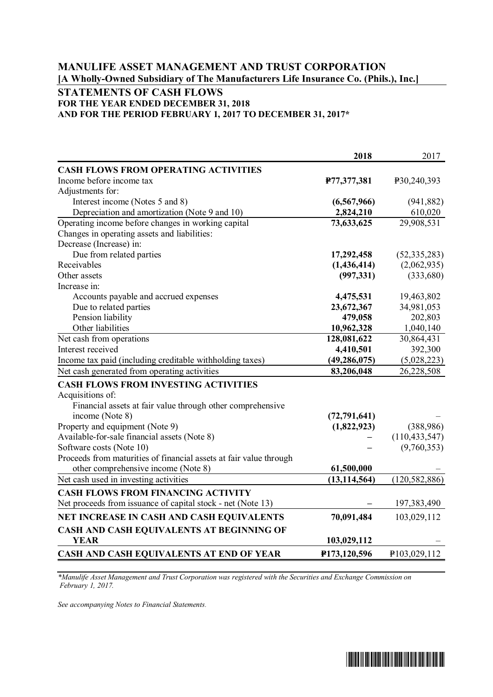# **MANULIFE ASSET MANAGEMENT AND TRUST CORPORATION [A Wholly-Owned Subsidiary of The Manufacturers Life Insurance Co. (Phils.), Inc.]**

# **STATEMENTS OF CASH FLOWS FOR THE YEAR ENDED DECEMBER 31, 2018 AND FOR THE PERIOD FEBRUARY 1, 2017 TO DECEMBER 31, 2017\***

|                                                                    | 2018           | 2017            |
|--------------------------------------------------------------------|----------------|-----------------|
| <b>CASH FLOWS FROM OPERATING ACTIVITIES</b>                        |                |                 |
| Income before income tax                                           | P77,377,381    | P30,240,393     |
| Adjustments for:                                                   |                |                 |
| Interest income (Notes 5 and 8)                                    | (6,567,966)    | (941, 882)      |
| Depreciation and amortization (Note 9 and 10)                      | 2,824,210      | 610,020         |
| Operating income before changes in working capital                 | 73,633,625     | 29,908,531      |
| Changes in operating assets and liabilities:                       |                |                 |
| Decrease (Increase) in:                                            |                |                 |
| Due from related parties                                           | 17,292,458     | (52, 335, 283)  |
| Receivables                                                        | (1,436,414)    | (2,062,935)     |
| Other assets                                                       | (997, 331)     | (333,680)       |
| Increase in:                                                       |                |                 |
| Accounts payable and accrued expenses                              | 4,475,531      | 19,463,802      |
| Due to related parties                                             | 23,672,367     | 34,981,053      |
| Pension liability                                                  | 479,058        | 202,803         |
| Other liabilities                                                  | 10,962,328     | 1,040,140       |
| Net cash from operations                                           | 128,081,622    | 30,864,431      |
| Interest received                                                  | 4,410,501      | 392,300         |
| Income tax paid (including creditable withholding taxes)           | (49, 286, 075) | (5,028,223)     |
| Net cash generated from operating activities                       | 83,206,048     | 26,228,508      |
| <b>CASH FLOWS FROM INVESTING ACTIVITIES</b>                        |                |                 |
| Acquisitions of:                                                   |                |                 |
| Financial assets at fair value through other comprehensive         |                |                 |
| income (Note 8)                                                    | (72, 791, 641) |                 |
| Property and equipment (Note 9)                                    | (1,822,923)    | (388,986)       |
| Available-for-sale financial assets (Note 8)                       |                | (110, 433, 547) |
| Software costs (Note 10)                                           |                | (9,760,353)     |
| Proceeds from maturities of financial assets at fair value through |                |                 |
| other comprehensive income (Note 8)                                | 61,500,000     |                 |
| Net cash used in investing activities                              | (13, 114, 564) | (120, 582, 886) |
| <b>CASH FLOWS FROM FINANCING ACTIVITY</b>                          |                |                 |
| Net proceeds from issuance of capital stock - net (Note 13)        |                | 197,383,490     |
| NET INCREASE IN CASH AND CASH EQUIVALENTS                          | 70,091,484     | 103,029,112     |
| CASH AND CASH EQUIVALENTS AT BEGINNING OF                          |                |                 |
| <b>YEAR</b>                                                        | 103,029,112    |                 |
| CASH AND CASH EQUIVALENTS AT END OF YEAR                           | P173,120,596   | P103,029,112    |

*\*Manulife Asset Management and Trust Corporation was registered with the Securities and Exchange Commission on February 1, 2017.*

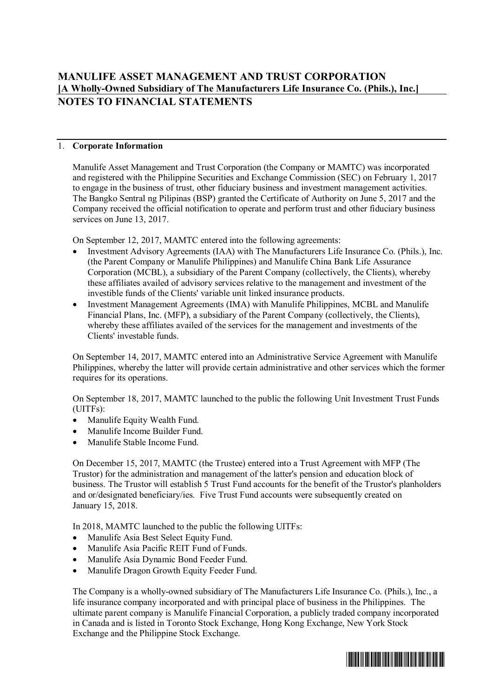## 1. **Corporate Information**

Manulife Asset Management and Trust Corporation (the Company or MAMTC) was incorporated and registered with the Philippine Securities and Exchange Commission (SEC) on February 1, 2017 to engage in the business of trust, other fiduciary business and investment management activities. The Bangko Sentral ng Pilipinas (BSP) granted the Certificate of Authority on June 5, 2017 and the Company received the official notification to operate and perform trust and other fiduciary business services on June 13, 2017.

On September 12, 2017, MAMTC entered into the following agreements:

- ∂ Investment Advisory Agreements (IAA) with The Manufacturers Life Insurance Co. (Phils.), Inc. (the Parent Company or Manulife Philippines) and Manulife China Bank Life Assurance Corporation (MCBL), a subsidiary of the Parent Company (collectively, the Clients), whereby these affiliates availed of advisory services relative to the management and investment of the investible funds of the Clients' variable unit linked insurance products.
- ∂ Investment Management Agreements (IMA) with Manulife Philippines, MCBL and Manulife Financial Plans, Inc. (MFP), a subsidiary of the Parent Company (collectively, the Clients), whereby these affiliates availed of the services for the management and investments of the Clients' investable funds.

On September 14, 2017, MAMTC entered into an Administrative Service Agreement with Manulife Philippines, whereby the latter will provide certain administrative and other services which the former requires for its operations.

On September 18, 2017, MAMTC launched to the public the following Unit Investment Trust Funds (UITFs):

- ∂ Manulife Equity Wealth Fund.
- ∂ Manulife Income Builder Fund.
- Manulife Stable Income Fund.

On December 15, 2017, MAMTC (the Trustee) entered into a Trust Agreement with MFP (The Trustor) for the administration and management of the latter's pension and education block of business. The Trustor will establish 5 Trust Fund accounts for the benefit of the Trustor's planholders and or/designated beneficiary/ies. Five Trust Fund accounts were subsequently created on January 15, 2018.

In 2018, MAMTC launched to the public the following UITFs:

- ∂ Manulife Asia Best Select Equity Fund.
- ∂ Manulife Asia Pacific REIT Fund of Funds.
- ∂ Manulife Asia Dynamic Bond Feeder Fund.
- ∂ Manulife Dragon Growth Equity Feeder Fund.

The Company is a wholly-owned subsidiary of The Manufacturers Life Insurance Co. (Phils.), Inc., a life insurance company incorporated and with principal place of business in the Philippines. The ultimate parent company is Manulife Financial Corporation, a publicly traded company incorporated in Canada and is listed in Toronto Stock Exchange, Hong Kong Exchange, New York Stock Exchange and the Philippine Stock Exchange.

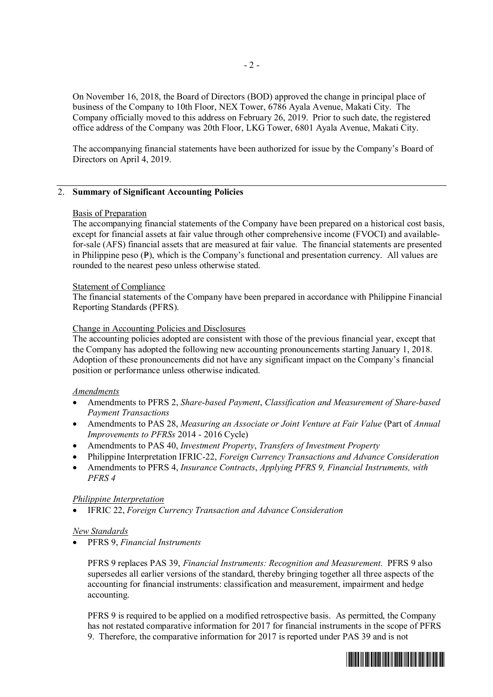On November 16, 2018, the Board of Directors (BOD) approved the change in principal place of business of the Company to 10th Floor, NEX Tower, 6786 Ayala Avenue, Makati City. The Company officially moved to this address on February 26, 2019. Prior to such date, the registered office address of the Company was 20th Floor, LKG Tower, 6801 Ayala Avenue, Makati City.

The accompanying financial statements have been authorized for issue by the Company's Board of Directors on April 4, 2019.

## 2. **Summary of Significant Accounting Policies**

## Basis of Preparation

The accompanying financial statements of the Company have been prepared on a historical cost basis, except for financial assets at fair value through other comprehensive income (FVOCI) and availablefor-sale (AFS) financial assets that are measured at fair value. The financial statements are presented in Philippine peso  $(P)$ , which is the Company's functional and presentation currency. All values are rounded to the nearest peso unless otherwise stated.

#### Statement of Compliance

The financial statements of the Company have been prepared in accordance with Philippine Financial Reporting Standards (PFRS).

## Change in Accounting Policies and Disclosures

The accounting policies adopted are consistent with those of the previous financial year, except that the Company has adopted the following new accounting pronouncements starting January 1, 2018. Adoption of these pronouncements did not have any significant impact on the Company's financial position or performance unless otherwise indicated.

## *Amendments*

- ∂ Amendments to PFRS 2, *Share-based Payment*, *Classification and Measurement of Share-based Payment Transactions*
- ∂ Amendments to PAS 28, *Measuring an Associate or Joint Venture at Fair Value* (Part of *Annual Improvements to PFRSs* 2014 - 2016 Cycle)
- ∂ Amendments to PAS 40, *Investment Property*, *Transfers of Investment Property*
- ∂ Philippine Interpretation IFRIC-22, *Foreign Currency Transactions and Advance Consideration*
- ∂ Amendments to PFRS 4, *Insurance Contracts*, *Applying PFRS 9, Financial Instruments, with PFRS 4*

#### *Philippine Interpretation*

∂ IFRIC 22, *Foreign Currency Transaction and Advance Consideration*

#### *New Standards*

∂ PFRS 9, *Financial Instruments*

PFRS 9 replaces PAS 39, *Financial Instruments: Recognition and Measurement*. PFRS 9 also supersedes all earlier versions of the standard, thereby bringing together all three aspects of the accounting for financial instruments: classification and measurement, impairment and hedge accounting.

PFRS 9 is required to be applied on a modified retrospective basis. As permitted, the Company has not restated comparative information for 2017 for financial instruments in the scope of PFRS 9. Therefore, the comparative information for 2017 is reported under PAS 39 and is not

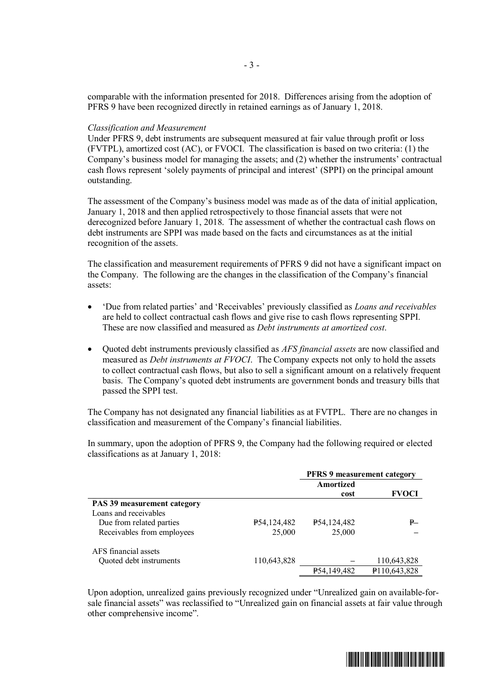comparable with the information presented for 2018. Differences arising from the adoption of PFRS 9 have been recognized directly in retained earnings as of January 1, 2018.

#### *Classification and Measurement*

Under PFRS 9, debt instruments are subsequent measured at fair value through profit or loss (FVTPL), amortized cost (AC), or FVOCI. The classification is based on two criteria: (1) the Company's business model for managing the assets; and (2) whether the instruments' contractual cash flows represent 'solely payments of principal and interest' (SPPI) on the principal amount outstanding.

The assessment of the Company's business model was made as of the data of initial application, January 1, 2018 and then applied retrospectively to those financial assets that were not derecognized before January 1, 2018. The assessment of whether the contractual cash flows on debt instruments are SPPI was made based on the facts and circumstances as at the initial recognition of the assets.

The classification and measurement requirements of PFRS 9 did not have a significant impact on the Company. The following are the changes in the classification of the Company's financial assets:

- ∂ 'Due from related parties' and 'Receivables' previously classified as *Loans and receivables* are held to collect contractual cash flows and give rise to cash flows representing SPPI. These are now classified and measured as *Debt instruments at amortized cost*.
- ∂ Quoted debt instruments previously classified as *AFS financial assets* are now classified and measured as *Debt instruments at FVOCI*. The Company expects not only to hold the assets to collect contractual cash flows, but also to sell a significant amount on a relatively frequent basis. The Company's quoted debt instruments are government bonds and treasury bills that passed the SPPI test.

The Company has not designated any financial liabilities as at FVTPL. There are no changes in classification and measurement of the Company's financial liabilities.

In summary, upon the adoption of PFRS 9, the Company had the following required or elected classifications as at January 1, 2018:

|                                    |             | <b>PFRS 9 measurement category</b> |              |  |
|------------------------------------|-------------|------------------------------------|--------------|--|
|                                    |             | Amortized                          |              |  |
|                                    |             | cost                               | <b>FVOCI</b> |  |
| <b>PAS 39 measurement category</b> |             |                                    |              |  |
| Loans and receivables              |             |                                    |              |  |
| Due from related parties           | P54,124,482 | P54,124,482                        | ₽—           |  |
| Receivables from employees         | 25,000      | 25,000                             |              |  |
| AFS financial assets               |             |                                    |              |  |
| Quoted debt instruments            | 110,643,828 |                                    | 110,643,828  |  |
|                                    |             | P54,149,482                        | P110,643,828 |  |
|                                    |             |                                    |              |  |

Upon adoption, unrealized gains previously recognized under "Unrealized gain on available-forsale financial assets" was reclassified to "Unrealized gain on financial assets at fair value through other comprehensive income".

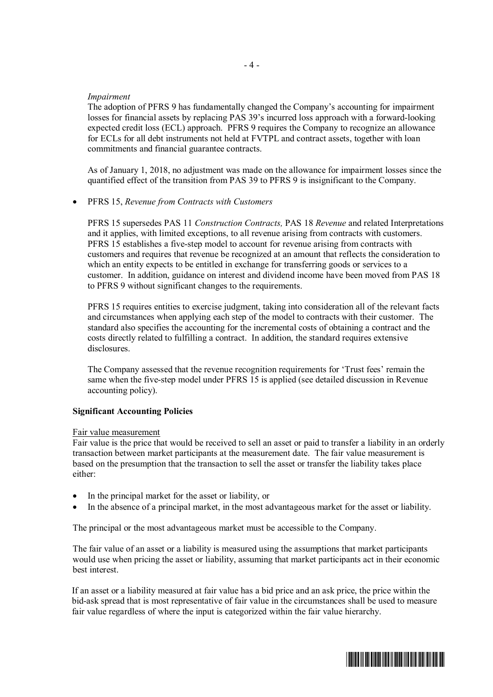## *Impairment*

The adoption of PFRS 9 has fundamentally changed the Company's accounting for impairment losses for financial assets by replacing PAS 39's incurred loss approach with a forward-looking expected credit loss (ECL) approach. PFRS 9 requires the Company to recognize an allowance for ECLs for all debt instruments not held at FVTPL and contract assets, together with loan commitments and financial guarantee contracts.

As of January 1, 2018, no adjustment was made on the allowance for impairment losses since the quantified effect of the transition from PAS 39 to PFRS 9 is insignificant to the Company.

#### ∂ PFRS 15, *Revenue from Contracts with Customers*

PFRS 15 supersedes PAS 11 *Construction Contracts,* PAS 18 *Revenue* and related Interpretations and it applies, with limited exceptions, to all revenue arising from contracts with customers. PFRS 15 establishes a five-step model to account for revenue arising from contracts with customers and requires that revenue be recognized at an amount that reflects the consideration to which an entity expects to be entitled in exchange for transferring goods or services to a customer. In addition, guidance on interest and dividend income have been moved from PAS 18 to PFRS 9 without significant changes to the requirements.

PFRS 15 requires entities to exercise judgment, taking into consideration all of the relevant facts and circumstances when applying each step of the model to contracts with their customer. The standard also specifies the accounting for the incremental costs of obtaining a contract and the costs directly related to fulfilling a contract. In addition, the standard requires extensive disclosures.

The Company assessed that the revenue recognition requirements for 'Trust fees' remain the same when the five-step model under PFRS 15 is applied (see detailed discussion in Revenue accounting policy).

#### **Significant Accounting Policies**

#### Fair value measurement

Fair value is the price that would be received to sell an asset or paid to transfer a liability in an orderly transaction between market participants at the measurement date. The fair value measurement is based on the presumption that the transaction to sell the asset or transfer the liability takes place either:

- ∂ In the principal market for the asset or liability, or
- ∂ In the absence of a principal market, in the most advantageous market for the asset or liability.

The principal or the most advantageous market must be accessible to the Company.

The fair value of an asset or a liability is measured using the assumptions that market participants would use when pricing the asset or liability, assuming that market participants act in their economic best interest.

If an asset or a liability measured at fair value has a bid price and an ask price, the price within the bid-ask spread that is most representative of fair value in the circumstances shall be used to measure fair value regardless of where the input is categorized within the fair value hierarchy.

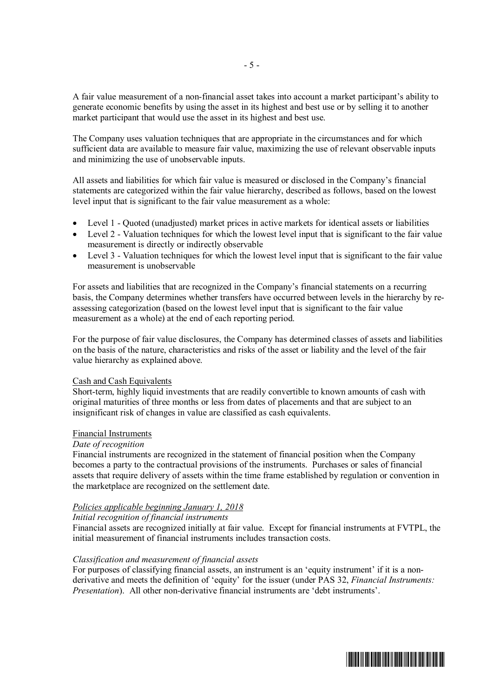A fair value measurement of a non-financial asset takes into account a market participant's ability to generate economic benefits by using the asset in its highest and best use or by selling it to another market participant that would use the asset in its highest and best use.

The Company uses valuation techniques that are appropriate in the circumstances and for which sufficient data are available to measure fair value, maximizing the use of relevant observable inputs and minimizing the use of unobservable inputs.

All assets and liabilities for which fair value is measured or disclosed in the Company's financial statements are categorized within the fair value hierarchy, described as follows, based on the lowest level input that is significant to the fair value measurement as a whole:

- ∂ Level 1 Quoted (unadjusted) market prices in active markets for identical assets or liabilities
- ∂ Level 2 Valuation techniques for which the lowest level input that is significant to the fair value measurement is directly or indirectly observable
- ∂ Level 3 Valuation techniques for which the lowest level input that is significant to the fair value measurement is unobservable

For assets and liabilities that are recognized in the Company's financial statements on a recurring basis, the Company determines whether transfers have occurred between levels in the hierarchy by reassessing categorization (based on the lowest level input that is significant to the fair value measurement as a whole) at the end of each reporting period.

For the purpose of fair value disclosures, the Company has determined classes of assets and liabilities on the basis of the nature, characteristics and risks of the asset or liability and the level of the fair value hierarchy as explained above.

## Cash and Cash Equivalents

Short-term, highly liquid investments that are readily convertible to known amounts of cash with original maturities of three months or less from dates of placements and that are subject to an insignificant risk of changes in value are classified as cash equivalents.

#### Financial Instruments

## *Date of recognition*

Financial instruments are recognized in the statement of financial position when the Company becomes a party to the contractual provisions of the instruments. Purchases or sales of financial assets that require delivery of assets within the time frame established by regulation or convention in the marketplace are recognized on the settlement date.

## *Policies applicable beginning January 1, 2018*

## *Initial recognition of financial instruments*

Financial assets are recognized initially at fair value. Except for financial instruments at FVTPL, the initial measurement of financial instruments includes transaction costs.

## *Classification and measurement of financial assets*

For purposes of classifying financial assets, an instrument is an 'equity instrument' if it is a nonderivative and meets the definition of 'equity' for the issuer (under PAS 32, *Financial Instruments: Presentation*). All other non-derivative financial instruments are 'debt instruments'.

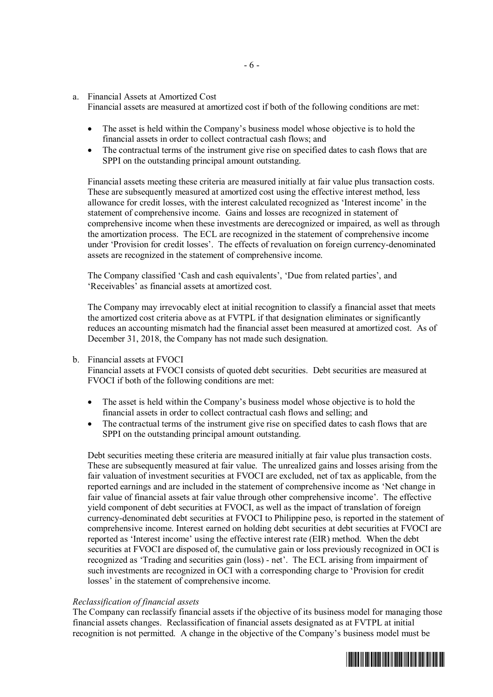a. Financial Assets at Amortized Cost

Financial assets are measured at amortized cost if both of the following conditions are met:

- The asset is held within the Company's business model whose objective is to hold the financial assets in order to collect contractual cash flows; and
- ∂ The contractual terms of the instrument give rise on specified dates to cash flows that are SPPI on the outstanding principal amount outstanding.

Financial assets meeting these criteria are measured initially at fair value plus transaction costs. These are subsequently measured at amortized cost using the effective interest method, less allowance for credit losses, with the interest calculated recognized as 'Interest income' in the statement of comprehensive income. Gains and losses are recognized in statement of comprehensive income when these investments are derecognized or impaired, as well as through the amortization process. The ECL are recognized in the statement of comprehensive income under 'Provision for credit losses'. The effects of revaluation on foreign currency-denominated assets are recognized in the statement of comprehensive income.

The Company classified 'Cash and cash equivalents', 'Due from related parties', and 'Receivables' as financial assets at amortized cost.

The Company may irrevocably elect at initial recognition to classify a financial asset that meets the amortized cost criteria above as at FVTPL if that designation eliminates or significantly reduces an accounting mismatch had the financial asset been measured at amortized cost. As of December 31, 2018, the Company has not made such designation.

#### b. Financial assets at FVOCI

Financial assets at FVOCI consists of quoted debt securities. Debt securities are measured at FVOCI if both of the following conditions are met:

- ∂ The asset is held within the Company's business model whose objective is to hold the financial assets in order to collect contractual cash flows and selling; and
- The contractual terms of the instrument give rise on specified dates to cash flows that are SPPI on the outstanding principal amount outstanding.

Debt securities meeting these criteria are measured initially at fair value plus transaction costs. These are subsequently measured at fair value. The unrealized gains and losses arising from the fair valuation of investment securities at FVOCI are excluded, net of tax as applicable, from the reported earnings and are included in the statement of comprehensive income as 'Net change in fair value of financial assets at fair value through other comprehensive income'. The effective yield component of debt securities at FVOCI, as well as the impact of translation of foreign currency-denominated debt securities at FVOCI to Philippine peso, is reported in the statement of comprehensive income. Interest earned on holding debt securities at debt securities at FVOCI are reported as 'Interest income' using the effective interest rate (EIR) method. When the debt securities at FVOCI are disposed of, the cumulative gain or loss previously recognized in OCI is recognized as 'Trading and securities gain (loss) - net'. The ECL arising from impairment of such investments are recognized in OCI with a corresponding charge to 'Provision for credit losses' in the statement of comprehensive income.

#### *Reclassification of financial assets*

The Company can reclassify financial assets if the objective of its business model for managing those financial assets changes. Reclassification of financial assets designated as at FVTPL at initial recognition is not permitted. A change in the objective of the Company's business model must be



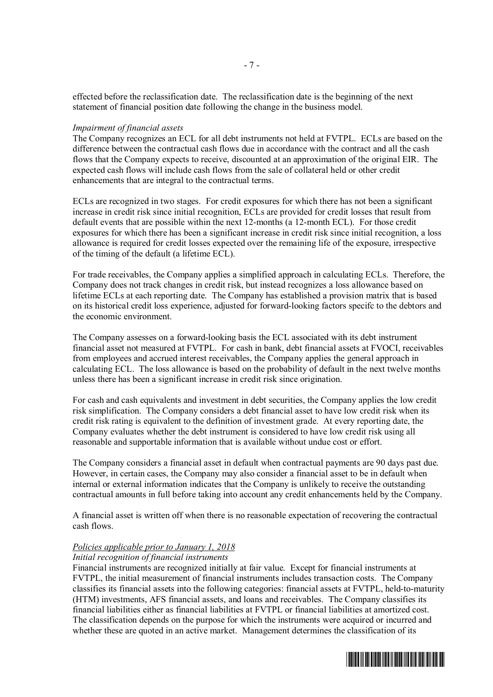effected before the reclassification date. The reclassification date is the beginning of the next statement of financial position date following the change in the business model.

#### *Impairment of financial assets*

The Company recognizes an ECL for all debt instruments not held at FVTPL. ECLs are based on the difference between the contractual cash flows due in accordance with the contract and all the cash flows that the Company expects to receive, discounted at an approximation of the original EIR. The expected cash flows will include cash flows from the sale of collateral held or other credit enhancements that are integral to the contractual terms.

ECLs are recognized in two stages. For credit exposures for which there has not been a significant increase in credit risk since initial recognition, ECLs are provided for credit losses that result from default events that are possible within the next 12-months (a 12-month ECL). For those credit exposures for which there has been a significant increase in credit risk since initial recognition, a loss allowance is required for credit losses expected over the remaining life of the exposure, irrespective of the timing of the default (a lifetime ECL).

For trade receivables, the Company applies a simplified approach in calculating ECLs. Therefore, the Company does not track changes in credit risk, but instead recognizes a loss allowance based on lifetime ECLs at each reporting date. The Company has established a provision matrix that is based on its historical credit loss experience, adjusted for forward-looking factors specifc to the debtors and the economic environment.

The Company assesses on a forward-looking basis the ECL associated with its debt instrument financial asset not measured at FVTPL. For cash in bank, debt financial assets at FVOCI, receivables from employees and accrued interest receivables, the Company applies the general approach in calculating ECL. The loss allowance is based on the probability of default in the next twelve months unless there has been a significant increase in credit risk since origination.

For cash and cash equivalents and investment in debt securities, the Company applies the low credit risk simplification. The Company considers a debt financial asset to have low credit risk when its credit risk rating is equivalent to the definition of investment grade. At every reporting date, the Company evaluates whether the debt instrument is considered to have low credit risk using all reasonable and supportable information that is available without undue cost or effort.

The Company considers a financial asset in default when contractual payments are 90 days past due. However, in certain cases, the Company may also consider a financial asset to be in default when internal or external information indicates that the Company is unlikely to receive the outstanding contractual amounts in full before taking into account any credit enhancements held by the Company.

A financial asset is written off when there is no reasonable expectation of recovering the contractual cash flows.

# *Policies applicable prior to January 1, 2018*

# *Initial recognition of financial instruments*

Financial instruments are recognized initially at fair value. Except for financial instruments at FVTPL, the initial measurement of financial instruments includes transaction costs. The Company classifies its financial assets into the following categories: financial assets at FVTPL, held-to-maturity (HTM) investments, AFS financial assets, and loans and receivables. The Company classifies its financial liabilities either as financial liabilities at FVTPL or financial liabilities at amortized cost. The classification depends on the purpose for which the instruments were acquired or incurred and whether these are quoted in an active market. Management determines the classification of its

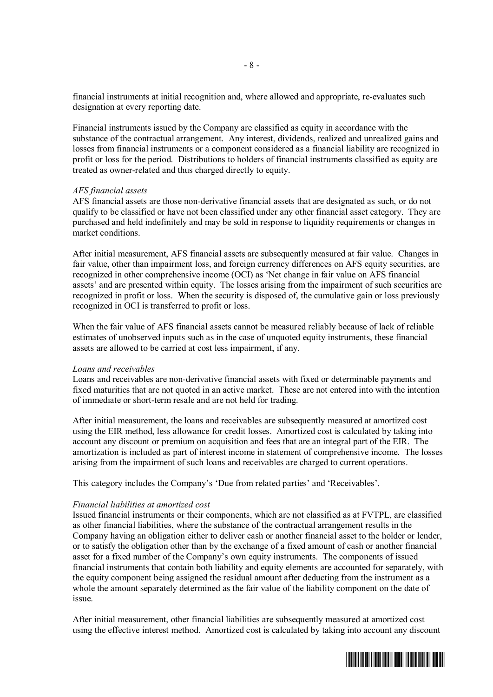financial instruments at initial recognition and, where allowed and appropriate, re-evaluates such designation at every reporting date.

Financial instruments issued by the Company are classified as equity in accordance with the substance of the contractual arrangement. Any interest, dividends, realized and unrealized gains and losses from financial instruments or a component considered as a financial liability are recognized in profit or loss for the period. Distributions to holders of financial instruments classified as equity are treated as owner-related and thus charged directly to equity.

#### *AFS financial assets*

AFS financial assets are those non-derivative financial assets that are designated as such, or do not qualify to be classified or have not been classified under any other financial asset category. They are purchased and held indefinitely and may be sold in response to liquidity requirements or changes in market conditions.

After initial measurement, AFS financial assets are subsequently measured at fair value. Changes in fair value, other than impairment loss, and foreign currency differences on AFS equity securities, are recognized in other comprehensive income (OCI) as 'Net change in fair value on AFS financial assets' and are presented within equity. The losses arising from the impairment of such securities are recognized in profit or loss. When the security is disposed of, the cumulative gain or loss previously recognized in OCI is transferred to profit or loss.

When the fair value of AFS financial assets cannot be measured reliably because of lack of reliable estimates of unobserved inputs such as in the case of unquoted equity instruments, these financial assets are allowed to be carried at cost less impairment, if any.

#### *Loans and receivables*

Loans and receivables are non-derivative financial assets with fixed or determinable payments and fixed maturities that are not quoted in an active market. These are not entered into with the intention of immediate or short-term resale and are not held for trading.

After initial measurement, the loans and receivables are subsequently measured at amortized cost using the EIR method, less allowance for credit losses. Amortized cost is calculated by taking into account any discount or premium on acquisition and fees that are an integral part of the EIR. The amortization is included as part of interest income in statement of comprehensive income. The losses arising from the impairment of such loans and receivables are charged to current operations.

This category includes the Company's 'Due from related parties' and 'Receivables'.

#### *Financial liabilities at amortized cost*

Issued financial instruments or their components, which are not classified as at FVTPL, are classified as other financial liabilities, where the substance of the contractual arrangement results in the Company having an obligation either to deliver cash or another financial asset to the holder or lender, or to satisfy the obligation other than by the exchange of a fixed amount of cash or another financial asset for a fixed number of the Company's own equity instruments. The components of issued financial instruments that contain both liability and equity elements are accounted for separately, with the equity component being assigned the residual amount after deducting from the instrument as a whole the amount separately determined as the fair value of the liability component on the date of issue.

After initial measurement, other financial liabilities are subsequently measured at amortized cost using the effective interest method. Amortized cost is calculated by taking into account any discount

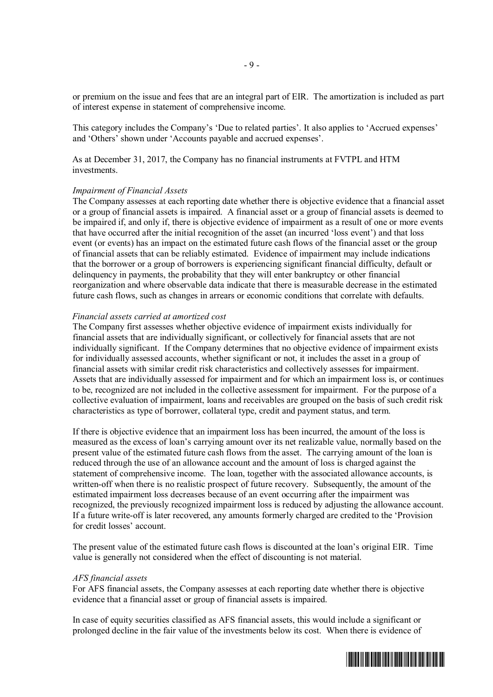or premium on the issue and fees that are an integral part of EIR. The amortization is included as part of interest expense in statement of comprehensive income.

This category includes the Company's 'Due to related parties'. It also applies to 'Accrued expenses' and 'Others' shown under 'Accounts payable and accrued expenses'.

As at December 31, 2017, the Company has no financial instruments at FVTPL and HTM investments.

#### *Impairment of Financial Assets*

The Company assesses at each reporting date whether there is objective evidence that a financial asset or a group of financial assets is impaired. A financial asset or a group of financial assets is deemed to be impaired if, and only if, there is objective evidence of impairment as a result of one or more events that have occurred after the initial recognition of the asset (an incurred 'loss event') and that loss event (or events) has an impact on the estimated future cash flows of the financial asset or the group of financial assets that can be reliably estimated. Evidence of impairment may include indications that the borrower or a group of borrowers is experiencing significant financial difficulty, default or delinquency in payments, the probability that they will enter bankruptcy or other financial reorganization and where observable data indicate that there is measurable decrease in the estimated future cash flows, such as changes in arrears or economic conditions that correlate with defaults.

#### *Financial assets carried at amortized cost*

The Company first assesses whether objective evidence of impairment exists individually for financial assets that are individually significant, or collectively for financial assets that are not individually significant. If the Company determines that no objective evidence of impairment exists for individually assessed accounts, whether significant or not, it includes the asset in a group of financial assets with similar credit risk characteristics and collectively assesses for impairment. Assets that are individually assessed for impairment and for which an impairment loss is, or continues to be, recognized are not included in the collective assessment for impairment. For the purpose of a collective evaluation of impairment, loans and receivables are grouped on the basis of such credit risk characteristics as type of borrower, collateral type, credit and payment status, and term.

If there is objective evidence that an impairment loss has been incurred, the amount of the loss is measured as the excess of loan's carrying amount over its net realizable value, normally based on the present value of the estimated future cash flows from the asset. The carrying amount of the loan is reduced through the use of an allowance account and the amount of loss is charged against the statement of comprehensive income. The loan, together with the associated allowance accounts, is written-off when there is no realistic prospect of future recovery. Subsequently, the amount of the estimated impairment loss decreases because of an event occurring after the impairment was recognized, the previously recognized impairment loss is reduced by adjusting the allowance account. If a future write-off is later recovered, any amounts formerly charged are credited to the 'Provision for credit losses' account.

The present value of the estimated future cash flows is discounted at the loan's original EIR. Time value is generally not considered when the effect of discounting is not material.

#### *AFS financial assets*

For AFS financial assets, the Company assesses at each reporting date whether there is objective evidence that a financial asset or group of financial assets is impaired.

In case of equity securities classified as AFS financial assets, this would include a significant or prolonged decline in the fair value of the investments below its cost. When there is evidence of

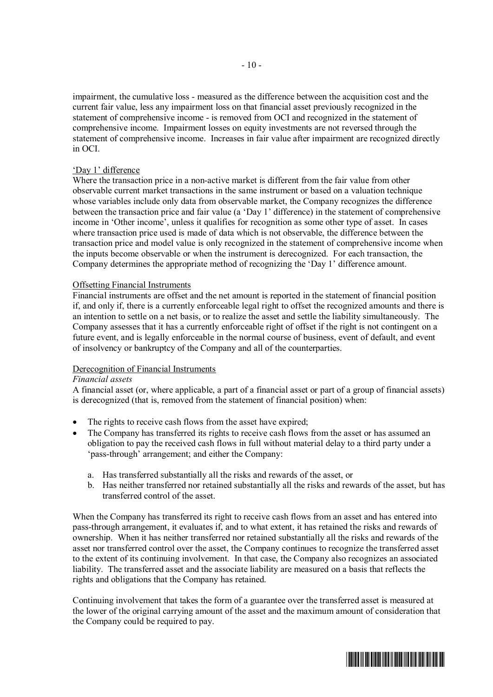impairment, the cumulative loss - measured as the difference between the acquisition cost and the current fair value, less any impairment loss on that financial asset previously recognized in the statement of comprehensive income - is removed from OCI and recognized in the statement of comprehensive income. Impairment losses on equity investments are not reversed through the statement of comprehensive income. Increases in fair value after impairment are recognized directly in OCI.

## 'Day 1' difference

Where the transaction price in a non-active market is different from the fair value from other observable current market transactions in the same instrument or based on a valuation technique whose variables include only data from observable market, the Company recognizes the difference between the transaction price and fair value (a 'Day 1' difference) in the statement of comprehensive income in 'Other income', unless it qualifies for recognition as some other type of asset. In cases where transaction price used is made of data which is not observable, the difference between the transaction price and model value is only recognized in the statement of comprehensive income when the inputs become observable or when the instrument is derecognized. For each transaction, the Company determines the appropriate method of recognizing the 'Day 1' difference amount.

#### Offsetting Financial Instruments

Financial instruments are offset and the net amount is reported in the statement of financial position if, and only if, there is a currently enforceable legal right to offset the recognized amounts and there is an intention to settle on a net basis, or to realize the asset and settle the liability simultaneously. The Company assesses that it has a currently enforceable right of offset if the right is not contingent on a future event, and is legally enforceable in the normal course of business, event of default, and event of insolvency or bankruptcy of the Company and all of the counterparties.

## Derecognition of Financial Instruments

#### *Financial assets*

A financial asset (or, where applicable, a part of a financial asset or part of a group of financial assets) is derecognized (that is, removed from the statement of financial position) when:

- The rights to receive cash flows from the asset have expired;
- ∂ The Company has transferred its rights to receive cash flows from the asset or has assumed an obligation to pay the received cash flows in full without material delay to a third party under a 'pass-through' arrangement; and either the Company:
	- a. Has transferred substantially all the risks and rewards of the asset, or
	- b. Has neither transferred nor retained substantially all the risks and rewards of the asset, but has transferred control of the asset.

When the Company has transferred its right to receive cash flows from an asset and has entered into pass-through arrangement, it evaluates if, and to what extent, it has retained the risks and rewards of ownership. When it has neither transferred nor retained substantially all the risks and rewards of the asset nor transferred control over the asset, the Company continues to recognize the transferred asset to the extent of its continuing involvement. In that case, the Company also recognizes an associated liability. The transferred asset and the associate liability are measured on a basis that reflects the rights and obligations that the Company has retained.

Continuing involvement that takes the form of a guarantee over the transferred asset is measured at the lower of the original carrying amount of the asset and the maximum amount of consideration that the Company could be required to pay.

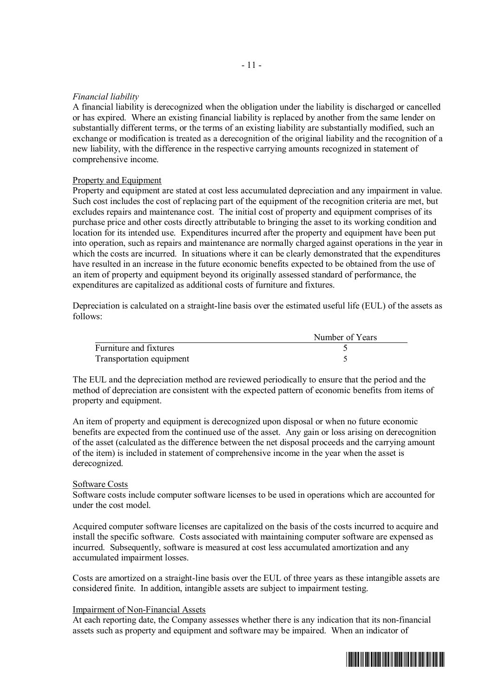## *Financial liability*

A financial liability is derecognized when the obligation under the liability is discharged or cancelled or has expired. Where an existing financial liability is replaced by another from the same lender on substantially different terms, or the terms of an existing liability are substantially modified, such an exchange or modification is treated as a derecognition of the original liability and the recognition of a new liability, with the difference in the respective carrying amounts recognized in statement of comprehensive income.

## Property and Equipment

Property and equipment are stated at cost less accumulated depreciation and any impairment in value. Such cost includes the cost of replacing part of the equipment of the recognition criteria are met, but excludes repairs and maintenance cost. The initial cost of property and equipment comprises of its purchase price and other costs directly attributable to bringing the asset to its working condition and location for its intended use. Expenditures incurred after the property and equipment have been put into operation, such as repairs and maintenance are normally charged against operations in the year in which the costs are incurred. In situations where it can be clearly demonstrated that the expenditures have resulted in an increase in the future economic benefits expected to be obtained from the use of an item of property and equipment beyond its originally assessed standard of performance, the expenditures are capitalized as additional costs of furniture and fixtures.

Depreciation is calculated on a straight-line basis over the estimated useful life (EUL) of the assets as follows:

|                          | Number of Years |
|--------------------------|-----------------|
| Furniture and fixtures   |                 |
| Transportation equipment |                 |

The EUL and the depreciation method are reviewed periodically to ensure that the period and the method of depreciation are consistent with the expected pattern of economic benefits from items of property and equipment.

An item of property and equipment is derecognized upon disposal or when no future economic benefits are expected from the continued use of the asset. Any gain or loss arising on derecognition of the asset (calculated as the difference between the net disposal proceeds and the carrying amount of the item) is included in statement of comprehensive income in the year when the asset is derecognized.

## Software Costs

Software costs include computer software licenses to be used in operations which are accounted for under the cost model.

Acquired computer software licenses are capitalized on the basis of the costs incurred to acquire and install the specific software. Costs associated with maintaining computer software are expensed as incurred. Subsequently, software is measured at cost less accumulated amortization and any accumulated impairment losses.

Costs are amortized on a straight-line basis over the EUL of three years as these intangible assets are considered finite. In addition, intangible assets are subject to impairment testing.

#### Impairment of Non-Financial Assets

At each reporting date, the Company assesses whether there is any indication that its non-financial assets such as property and equipment and software may be impaired. When an indicator of

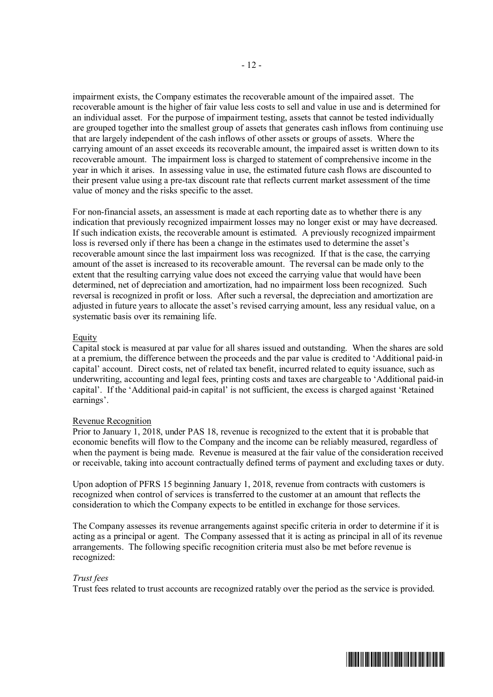impairment exists, the Company estimates the recoverable amount of the impaired asset. The recoverable amount is the higher of fair value less costs to sell and value in use and is determined for an individual asset. For the purpose of impairment testing, assets that cannot be tested individually are grouped together into the smallest group of assets that generates cash inflows from continuing use that are largely independent of the cash inflows of other assets or groups of assets. Where the carrying amount of an asset exceeds its recoverable amount, the impaired asset is written down to its recoverable amount. The impairment loss is charged to statement of comprehensive income in the year in which it arises. In assessing value in use, the estimated future cash flows are discounted to their present value using a pre-tax discount rate that reflects current market assessment of the time value of money and the risks specific to the asset.

For non-financial assets, an assessment is made at each reporting date as to whether there is any indication that previously recognized impairment losses may no longer exist or may have decreased. If such indication exists, the recoverable amount is estimated. A previously recognized impairment loss is reversed only if there has been a change in the estimates used to determine the asset's recoverable amount since the last impairment loss was recognized. If that is the case, the carrying amount of the asset is increased to its recoverable amount. The reversal can be made only to the extent that the resulting carrying value does not exceed the carrying value that would have been determined, net of depreciation and amortization, had no impairment loss been recognized. Such reversal is recognized in profit or loss. After such a reversal, the depreciation and amortization are adjusted in future years to allocate the asset's revised carrying amount, less any residual value, on a systematic basis over its remaining life.

## Equity

Capital stock is measured at par value for all shares issued and outstanding. When the shares are sold at a premium, the difference between the proceeds and the par value is credited to 'Additional paid-in capital' account. Direct costs, net of related tax benefit, incurred related to equity issuance, such as underwriting, accounting and legal fees, printing costs and taxes are chargeable to 'Additional paid-in capital'. If the 'Additional paid-in capital' is not sufficient, the excess is charged against 'Retained earnings'.

#### Revenue Recognition

Prior to January 1, 2018, under PAS 18, revenue is recognized to the extent that it is probable that economic benefits will flow to the Company and the income can be reliably measured, regardless of when the payment is being made. Revenue is measured at the fair value of the consideration received or receivable, taking into account contractually defined terms of payment and excluding taxes or duty.

Upon adoption of PFRS 15 beginning January 1, 2018, revenue from contracts with customers is recognized when control of services is transferred to the customer at an amount that reflects the consideration to which the Company expects to be entitled in exchange for those services.

The Company assesses its revenue arrangements against specific criteria in order to determine if it is acting as a principal or agent. The Company assessed that it is acting as principal in all of its revenue arrangements. The following specific recognition criteria must also be met before revenue is recognized:

## *Trust fees*

Trust fees related to trust accounts are recognized ratably over the period as the service is provided.

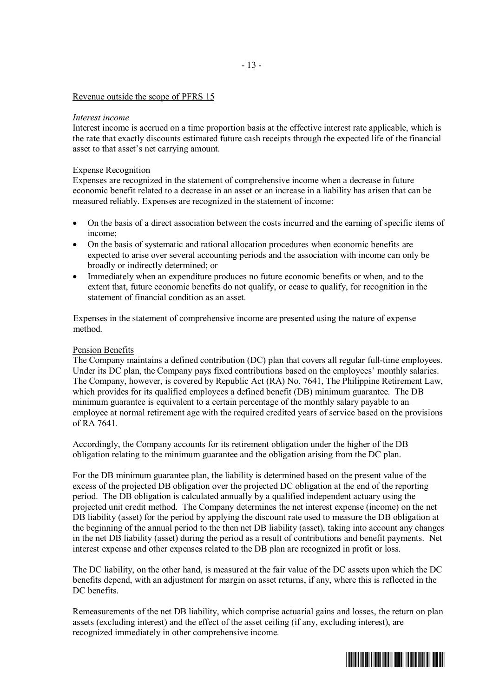#### Revenue outside the scope of PFRS 15

#### *Interest income*

Interest income is accrued on a time proportion basis at the effective interest rate applicable, which is the rate that exactly discounts estimated future cash receipts through the expected life of the financial asset to that asset's net carrying amount.

#### Expense Recognition

Expenses are recognized in the statement of comprehensive income when a decrease in future economic benefit related to a decrease in an asset or an increase in a liability has arisen that can be measured reliably. Expenses are recognized in the statement of income:

- ∂ On the basis of a direct association between the costs incurred and the earning of specific items of income;
- On the basis of systematic and rational allocation procedures when economic benefits are expected to arise over several accounting periods and the association with income can only be broadly or indirectly determined; or
- Immediately when an expenditure produces no future economic benefits or when, and to the extent that, future economic benefits do not qualify, or cease to qualify, for recognition in the statement of financial condition as an asset.

Expenses in the statement of comprehensive income are presented using the nature of expense method.

#### Pension Benefits

The Company maintains a defined contribution (DC) plan that covers all regular full-time employees. Under its DC plan, the Company pays fixed contributions based on the employees' monthly salaries. The Company, however, is covered by Republic Act (RA) No. 7641, The Philippine Retirement Law, which provides for its qualified employees a defined benefit (DB) minimum guarantee. The DB minimum guarantee is equivalent to a certain percentage of the monthly salary payable to an employee at normal retirement age with the required credited years of service based on the provisions of RA 7641.

Accordingly, the Company accounts for its retirement obligation under the higher of the DB obligation relating to the minimum guarantee and the obligation arising from the DC plan.

For the DB minimum guarantee plan, the liability is determined based on the present value of the excess of the projected DB obligation over the projected DC obligation at the end of the reporting period. The DB obligation is calculated annually by a qualified independent actuary using the projected unit credit method. The Company determines the net interest expense (income) on the net DB liability (asset) for the period by applying the discount rate used to measure the DB obligation at the beginning of the annual period to the then net DB liability (asset), taking into account any changes in the net DB liability (asset) during the period as a result of contributions and benefit payments. Net interest expense and other expenses related to the DB plan are recognized in profit or loss.

The DC liability, on the other hand, is measured at the fair value of the DC assets upon which the DC benefits depend, with an adjustment for margin on asset returns, if any, where this is reflected in the DC benefits.

Remeasurements of the net DB liability, which comprise actuarial gains and losses, the return on plan assets (excluding interest) and the effect of the asset ceiling (if any, excluding interest), are recognized immediately in other comprehensive income.

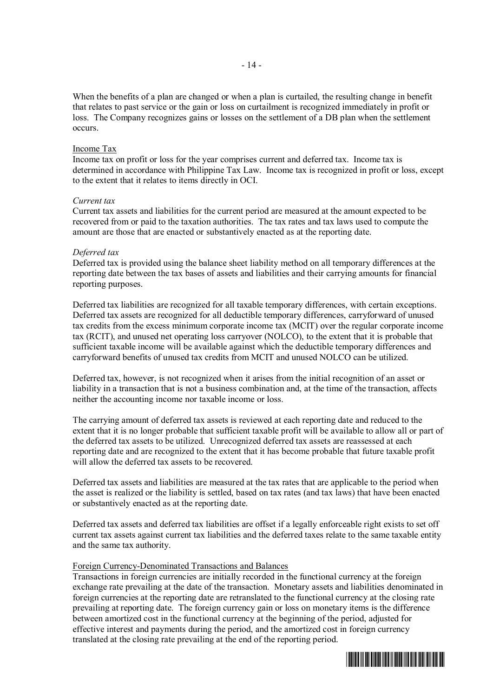When the benefits of a plan are changed or when a plan is curtailed, the resulting change in benefit that relates to past service or the gain or loss on curtailment is recognized immediately in profit or loss. The Company recognizes gains or losses on the settlement of a DB plan when the settlement occurs.

#### Income Tax

Income tax on profit or loss for the year comprises current and deferred tax. Income tax is determined in accordance with Philippine Tax Law. Income tax is recognized in profit or loss, except to the extent that it relates to items directly in OCI.

#### *Current tax*

Current tax assets and liabilities for the current period are measured at the amount expected to be recovered from or paid to the taxation authorities. The tax rates and tax laws used to compute the amount are those that are enacted or substantively enacted as at the reporting date.

#### *Deferred tax*

Deferred tax is provided using the balance sheet liability method on all temporary differences at the reporting date between the tax bases of assets and liabilities and their carrying amounts for financial reporting purposes.

Deferred tax liabilities are recognized for all taxable temporary differences, with certain exceptions. Deferred tax assets are recognized for all deductible temporary differences, carryforward of unused tax credits from the excess minimum corporate income tax (MCIT) over the regular corporate income tax (RCIT), and unused net operating loss carryover (NOLCO), to the extent that it is probable that sufficient taxable income will be available against which the deductible temporary differences and carryforward benefits of unused tax credits from MCIT and unused NOLCO can be utilized.

Deferred tax, however, is not recognized when it arises from the initial recognition of an asset or liability in a transaction that is not a business combination and, at the time of the transaction, affects neither the accounting income nor taxable income or loss.

The carrying amount of deferred tax assets is reviewed at each reporting date and reduced to the extent that it is no longer probable that sufficient taxable profit will be available to allow all or part of the deferred tax assets to be utilized. Unrecognized deferred tax assets are reassessed at each reporting date and are recognized to the extent that it has become probable that future taxable profit will allow the deferred tax assets to be recovered.

Deferred tax assets and liabilities are measured at the tax rates that are applicable to the period when the asset is realized or the liability is settled, based on tax rates (and tax laws) that have been enacted or substantively enacted as at the reporting date.

Deferred tax assets and deferred tax liabilities are offset if a legally enforceable right exists to set off current tax assets against current tax liabilities and the deferred taxes relate to the same taxable entity and the same tax authority.

#### Foreign Currency-Denominated Transactions and Balances

Transactions in foreign currencies are initially recorded in the functional currency at the foreign exchange rate prevailing at the date of the transaction. Monetary assets and liabilities denominated in foreign currencies at the reporting date are retranslated to the functional currency at the closing rate prevailing at reporting date. The foreign currency gain or loss on monetary items is the difference between amortized cost in the functional currency at the beginning of the period, adjusted for effective interest and payments during the period, and the amortized cost in foreign currency translated at the closing rate prevailing at the end of the reporting period.

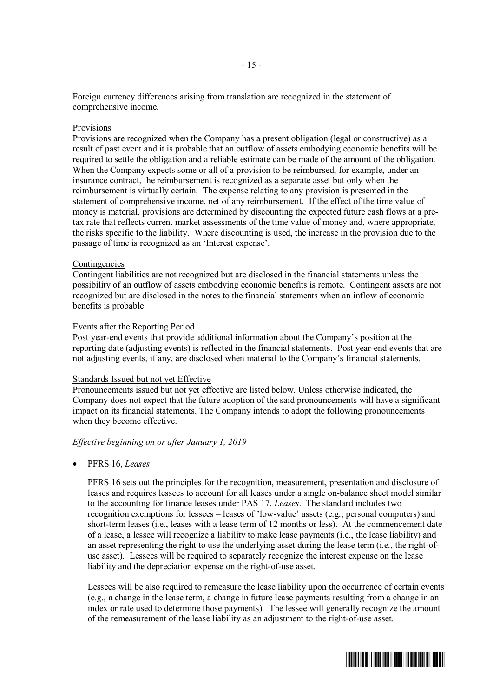Foreign currency differences arising from translation are recognized in the statement of comprehensive income.

#### Provisions

Provisions are recognized when the Company has a present obligation (legal or constructive) as a result of past event and it is probable that an outflow of assets embodying economic benefits will be required to settle the obligation and a reliable estimate can be made of the amount of the obligation. When the Company expects some or all of a provision to be reimbursed, for example, under an insurance contract, the reimbursement is recognized as a separate asset but only when the reimbursement is virtually certain. The expense relating to any provision is presented in the statement of comprehensive income, net of any reimbursement. If the effect of the time value of money is material, provisions are determined by discounting the expected future cash flows at a pretax rate that reflects current market assessments of the time value of money and, where appropriate, the risks specific to the liability. Where discounting is used, the increase in the provision due to the passage of time is recognized as an 'Interest expense'.

#### Contingencies

Contingent liabilities are not recognized but are disclosed in the financial statements unless the possibility of an outflow of assets embodying economic benefits is remote. Contingent assets are not recognized but are disclosed in the notes to the financial statements when an inflow of economic benefits is probable.

#### Events after the Reporting Period

Post year-end events that provide additional information about the Company's position at the reporting date (adjusting events) is reflected in the financial statements. Post year-end events that are not adjusting events, if any, are disclosed when material to the Company's financial statements.

#### Standards Issued but not yet Effective

Pronouncements issued but not yet effective are listed below. Unless otherwise indicated, the Company does not expect that the future adoption of the said pronouncements will have a significant impact on its financial statements. The Company intends to adopt the following pronouncements when they become effective.

#### *Effective beginning on or after January 1, 2019*

∂ PFRS 16, *Leases*

PFRS 16 sets out the principles for the recognition, measurement, presentation and disclosure of leases and requires lessees to account for all leases under a single on-balance sheet model similar to the accounting for finance leases under PAS 17, *Leases*. The standard includes two recognition exemptions for lessees – leases of 'low-value' assets (e.g., personal computers) and short-term leases (i.e., leases with a lease term of 12 months or less). At the commencement date of a lease, a lessee will recognize a liability to make lease payments (i.e., the lease liability) and an asset representing the right to use the underlying asset during the lease term (i.e., the right-ofuse asset). Lessees will be required to separately recognize the interest expense on the lease liability and the depreciation expense on the right-of-use asset.

Lessees will be also required to remeasure the lease liability upon the occurrence of certain events (e.g., a change in the lease term, a change in future lease payments resulting from a change in an index or rate used to determine those payments). The lessee will generally recognize the amount of the remeasurement of the lease liability as an adjustment to the right-of-use asset.

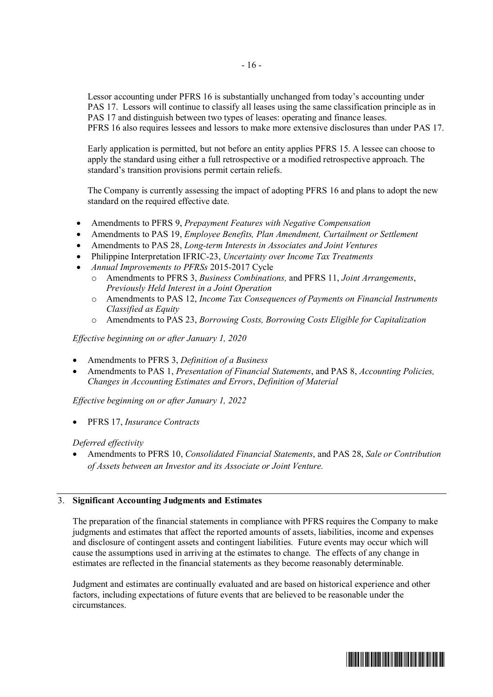Lessor accounting under PFRS 16 is substantially unchanged from today's accounting under PAS 17. Lessors will continue to classify all leases using the same classification principle as in PAS 17 and distinguish between two types of leases: operating and finance leases. PFRS 16 also requires lessees and lessors to make more extensive disclosures than under PAS 17.

Early application is permitted, but not before an entity applies PFRS 15. A lessee can choose to apply the standard using either a full retrospective or a modified retrospective approach. The standard's transition provisions permit certain reliefs.

The Company is currently assessing the impact of adopting PFRS 16 and plans to adopt the new standard on the required effective date.

- ∂ Amendments to PFRS 9, *Prepayment Features with Negative Compensation*
- ∂ Amendments to PAS 19, *Employee Benefits, Plan Amendment, Curtailment or Settlement*
- ∂ Amendments to PAS 28, *Long-term Interests in Associates and Joint Ventures*
- ∂ Philippine Interpretation IFRIC-23, *Uncertainty over Income Tax Treatments*
- ∂ *Annual Improvements to PFRSs* 2015-2017 Cycle
	- o Amendments to PFRS 3, *Business Combinations,* and PFRS 11, *Joint Arrangements*, *Previously Held Interest in a Joint Operation*
	- o Amendments to PAS 12, *Income Tax Consequences of Payments on Financial Instruments Classified as Equity*
	- o Amendments to PAS 23, *Borrowing Costs, Borrowing Costs Eligible for Capitalization*

*Effective beginning on or after January 1, 2020*

- ∂ Amendments to PFRS 3, *Definition of a Business*
- ∂ Amendments to PAS 1, *Presentation of Financial Statements*, and PAS 8, *Accounting Policies, Changes in Accounting Estimates and Errors*, *Definition of Material*

*Effective beginning on or after January 1, 2022*

∂ PFRS 17, *Insurance Contracts*

#### *Deferred effectivity*

∂ Amendments to PFRS 10, *Consolidated Financial Statements*, and PAS 28, *Sale or Contribution of Assets between an Investor and its Associate or Joint Venture.*

## 3. **Significant Accounting Judgments and Estimates**

The preparation of the financial statements in compliance with PFRS requires the Company to make judgments and estimates that affect the reported amounts of assets, liabilities, income and expenses and disclosure of contingent assets and contingent liabilities. Future events may occur which will cause the assumptions used in arriving at the estimates to change. The effects of any change in estimates are reflected in the financial statements as they become reasonably determinable.

Judgment and estimates are continually evaluated and are based on historical experience and other factors, including expectations of future events that are believed to be reasonable under the circumstances.

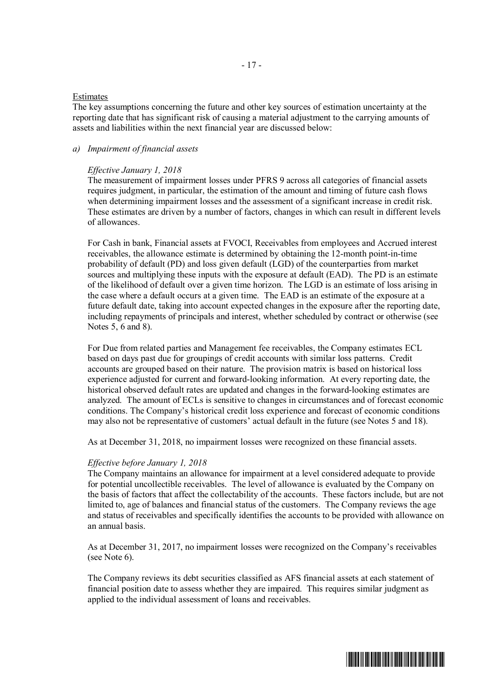#### Estimates

The key assumptions concerning the future and other key sources of estimation uncertainty at the reporting date that has significant risk of causing a material adjustment to the carrying amounts of assets and liabilities within the next financial year are discussed below:

## *a) Impairment of financial assets*

#### *Effective January 1, 2018*

The measurement of impairment losses under PFRS 9 across all categories of financial assets requires judgment, in particular, the estimation of the amount and timing of future cash flows when determining impairment losses and the assessment of a significant increase in credit risk. These estimates are driven by a number of factors, changes in which can result in different levels of allowances.

For Cash in bank, Financial assets at FVOCI, Receivables from employees and Accrued interest receivables, the allowance estimate is determined by obtaining the 12-month point-in-time probability of default (PD) and loss given default (LGD) of the counterparties from market sources and multiplying these inputs with the exposure at default (EAD). The PD is an estimate of the likelihood of default over a given time horizon. The LGD is an estimate of loss arising in the case where a default occurs at a given time. The EAD is an estimate of the exposure at a future default date, taking into account expected changes in the exposure after the reporting date, including repayments of principals and interest, whether scheduled by contract or otherwise (see Notes 5, 6 and 8).

For Due from related parties and Management fee receivables, the Company estimates ECL based on days past due for groupings of credit accounts with similar loss patterns. Credit accounts are grouped based on their nature. The provision matrix is based on historical loss experience adjusted for current and forward-looking information. At every reporting date, the historical observed default rates are updated and changes in the forward-looking estimates are analyzed. The amount of ECLs is sensitive to changes in circumstances and of forecast economic conditions. The Company's historical credit loss experience and forecast of economic conditions may also not be representative of customers' actual default in the future (see Notes 5 and 18).

As at December 31, 2018, no impairment losses were recognized on these financial assets.

#### *Effective before January 1, 2018*

The Company maintains an allowance for impairment at a level considered adequate to provide for potential uncollectible receivables. The level of allowance is evaluated by the Company on the basis of factors that affect the collectability of the accounts. These factors include, but are not limited to, age of balances and financial status of the customers. The Company reviews the age and status of receivables and specifically identifies the accounts to be provided with allowance on an annual basis.

As at December 31, 2017, no impairment losses were recognized on the Company's receivables (see Note 6).

The Company reviews its debt securities classified as AFS financial assets at each statement of financial position date to assess whether they are impaired. This requires similar judgment as applied to the individual assessment of loans and receivables.

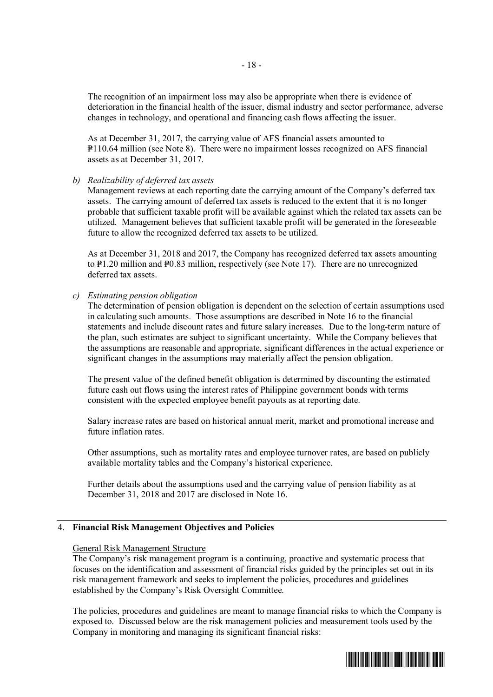The recognition of an impairment loss may also be appropriate when there is evidence of deterioration in the financial health of the issuer, dismal industry and sector performance, adverse changes in technology, and operational and financing cash flows affecting the issuer.

As at December 31, 2017, the carrying value of AFS financial assets amounted to P110.64 million (see Note 8). There were no impairment losses recognized on AFS financial assets as at December 31, 2017.

## *b) Realizability of deferred tax assets*

Management reviews at each reporting date the carrying amount of the Company's deferred tax assets. The carrying amount of deferred tax assets is reduced to the extent that it is no longer probable that sufficient taxable profit will be available against which the related tax assets can be utilized. Management believes that sufficient taxable profit will be generated in the foreseeable future to allow the recognized deferred tax assets to be utilized.

As at December 31, 2018 and 2017, the Company has recognized deferred tax assets amounting to  $\text{P1.20}$  million and  $\text{P0.83}$  million, respectively (see Note 17). There are no unrecognized deferred tax assets.

## *c) Estimating pension obligation*

The determination of pension obligation is dependent on the selection of certain assumptions used in calculating such amounts. Those assumptions are described in Note 16 to the financial statements and include discount rates and future salary increases. Due to the long-term nature of the plan, such estimates are subject to significant uncertainty. While the Company believes that the assumptions are reasonable and appropriate, significant differences in the actual experience or significant changes in the assumptions may materially affect the pension obligation.

The present value of the defined benefit obligation is determined by discounting the estimated future cash out flows using the interest rates of Philippine government bonds with terms consistent with the expected employee benefit payouts as at reporting date.

Salary increase rates are based on historical annual merit, market and promotional increase and future inflation rates.

Other assumptions, such as mortality rates and employee turnover rates, are based on publicly available mortality tables and the Company's historical experience.

Further details about the assumptions used and the carrying value of pension liability as at December 31, 2018 and 2017 are disclosed in Note 16.

#### 4. **Financial Risk Management Objectives and Policies**

## General Risk Management Structure

The Company's risk management program is a continuing, proactive and systematic process that focuses on the identification and assessment of financial risks guided by the principles set out in its risk management framework and seeks to implement the policies, procedures and guidelines established by the Company's Risk Oversight Committee.

The policies, procedures and guidelines are meant to manage financial risks to which the Company is exposed to. Discussed below are the risk management policies and measurement tools used by the Company in monitoring and managing its significant financial risks:

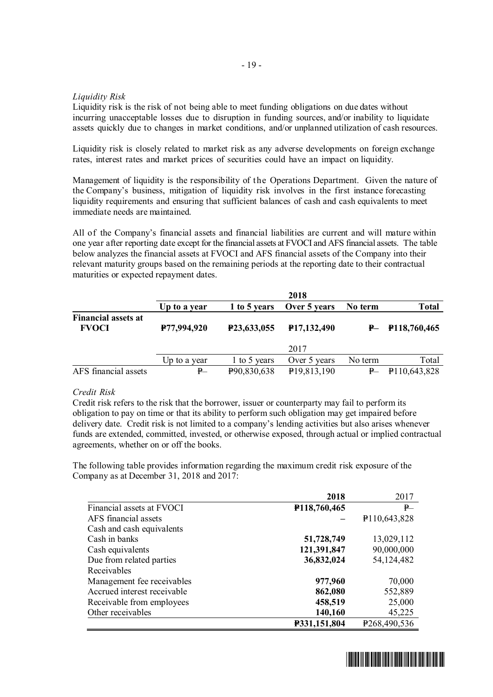## *Liquidity Risk*

Liquidity risk is the risk of not being able to meet funding obligations on due dates without incurring unacceptable losses due to disruption in funding sources, and/or inability to liquidate assets quickly due to changes in market conditions, and/or unplanned utilization of cash resources.

Liquidity risk is closely related to market risk as any adverse developments on foreign exchange rates, interest rates and market prices of securities could have an impact on liquidity.

Management of liquidity is the responsibility of the Operations Department. Given the nature of the Company's business, mitigation of liquidity risk involves in the first instance forecasting liquidity requirements and ensuring that sufficient balances of cash and cash equivalents to meet immediate needs are maintained.

All of the Company's financial assets and financial liabilities are current and will mature within one year after reporting date except for the financial assets at FVOCI and AFS financial assets. The table below analyzes the financial assets at FVOCI and AFS financial assets of the Company into their relevant maturity groups based on the remaining periods at the reporting date to their contractual maturities or expected repayment dates.

|                                            |              |              | 2018                     |         |                   |
|--------------------------------------------|--------------|--------------|--------------------------|---------|-------------------|
|                                            | Up to a year | 1 to 5 years | Over 5 years             | No term | <b>Total</b>      |
| <b>Financial assets at</b><br><b>FVOCI</b> | P77,994,920  | P23,633,055  | P <sub>17</sub> ,132,490 |         | $P-$ P118,760,465 |
|                                            |              |              | 2017                     |         |                   |
|                                            | Up to a year | 1 to 5 years | Over 5 years             | No term | Total             |
| AFS financial assets                       | $P-$         | P90,830,638  | P <sub>19</sub> ,813,190 | P       | P110,643,828      |

## *Credit Risk*

Credit risk refers to the risk that the borrower, issuer or counterparty may fail to perform its obligation to pay on time or that its ability to perform such obligation may get impaired before delivery date. Credit risk is not limited to a company's lending activities but also arises whenever funds are extended, committed, invested, or otherwise exposed, through actual or implied contractual agreements, whether on or off the books.

The following table provides information regarding the maximum credit risk exposure of the Company as at December 31, 2018 and 2017:

|                             | 2018         | 2017                      |
|-----------------------------|--------------|---------------------------|
| Financial assets at FVOCI   | P118,760,465 | P                         |
| AFS financial assets        |              | P110,643,828              |
| Cash and cash equivalents   |              |                           |
| Cash in banks               | 51,728,749   | 13,029,112                |
| Cash equivalents            | 121,391,847  | 90,000,000                |
| Due from related parties    | 36,832,024   | 54,124,482                |
| Receivables                 |              |                           |
| Management fee receivables  | 977,960      | 70,000                    |
| Accrued interest receivable | 862,080      | 552,889                   |
| Receivable from employees   | 458,519      | 25,000                    |
| Other receivables           | 140,160      | 45,225                    |
|                             | P331,151,804 | P <sub>268</sub> ,490,536 |

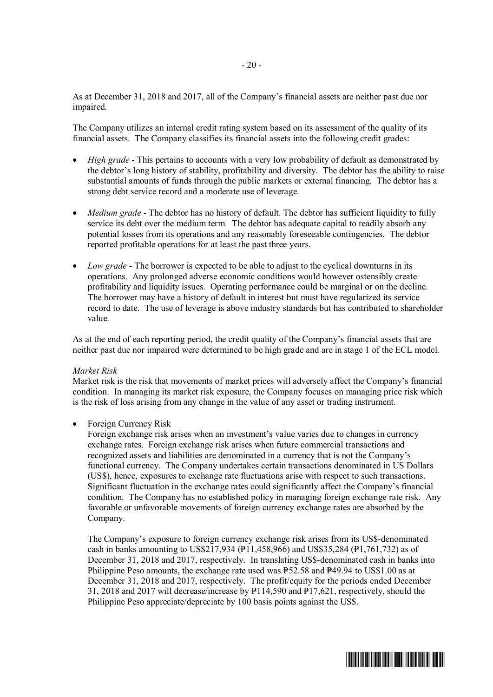As at December 31, 2018 and 2017, all of the Company's financial assets are neither past due nor impaired.

The Company utilizes an internal credit rating system based on its assessment of the quality of its financial assets. The Company classifies its financial assets into the following credit grades:

- *High grade* This pertains to accounts with a very low probability of default as demonstrated by the debtor's long history of stability, profitability and diversity. The debtor has the ability to raise substantial amounts of funds through the public markets or external financing. The debtor has a strong debt service record and a moderate use of leverage.
- *Medium grade* The debtor has no history of default. The debtor has sufficient liquidity to fully service its debt over the medium term. The debtor has adequate capital to readily absorb any potential losses from its operations and any reasonably foreseeable contingencies. The debtor reported profitable operations for at least the past three years.
- ∂ *Low grade* The borrower is expected to be able to adjust to the cyclical downturns in its operations. Any prolonged adverse economic conditions would however ostensibly create profitability and liquidity issues. Operating performance could be marginal or on the decline. The borrower may have a history of default in interest but must have regularized its service record to date. The use of leverage is above industry standards but has contributed to shareholder value.

As at the end of each reporting period, the credit quality of the Company's financial assets that are neither past due nor impaired were determined to be high grade and are in stage 1 of the ECL model.

#### *Market Risk*

Market risk is the risk that movements of market prices will adversely affect the Company's financial condition. In managing its market risk exposure, the Company focuses on managing price risk which is the risk of loss arising from any change in the value of any asset or trading instrument.

∂ Foreign Currency Risk

Foreign exchange risk arises when an investment's value varies due to changes in currency exchange rates. Foreign exchange risk arises when future commercial transactions and recognized assets and liabilities are denominated in a currency that is not the Company's functional currency. The Company undertakes certain transactions denominated in US Dollars (US\$), hence, exposures to exchange rate fluctuations arise with respect to such transactions. Significant fluctuation in the exchange rates could significantly affect the Company's financial condition. The Company has no established policy in managing foreign exchange rate risk. Any favorable or unfavorable movements of foreign currency exchange rates are absorbed by the Company.

The Company's exposure to foreign currency exchange risk arises from its US\$-denominated cash in banks amounting to US\$217,934 (P11,458,966) and US\$35,284 (P1,761,732) as of December 31, 2018 and 2017, respectively. In translating US\$-denominated cash in banks into Philippine Peso amounts, the exchange rate used was  $P52.58$  and  $P49.94$  to US\$1.00 as at December 31, 2018 and 2017, respectively. The profit/equity for the periods ended December 31, 2018 and 2017 will decrease/increase by  $P114,590$  and  $P17,621$ , respectively, should the Philippine Peso appreciate/depreciate by 100 basis points against the US\$.

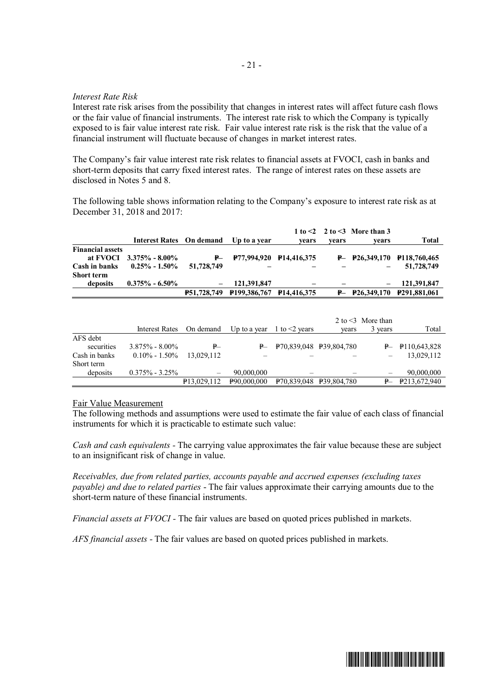## *Interest Rate Risk*

Interest rate risk arises from the possibility that changes in interest rates will affect future cash flows or the fair value of financial instruments. The interest rate risk to which the Company is typically exposed to is fair value interest rate risk. Fair value interest rate risk is the risk that the value of a financial instrument will fluctuate because of changes in market interest rates.

The Company's fair value interest rate risk relates to financial assets at FVOCI, cash in banks and short-term deposits that carry fixed interest rates. The range of interest rates on these assets are disclosed in Notes 5 and 8.

The following table shows information relating to the Company's exposure to interest rate risk as at December 31, 2018 and 2017:

|                                    | Interest Rates On demand   |            | Up to a year                                | vears | vears | 1 to $\leq$ 2 to $\leq$ 3 More than 3<br>vears | Total                         |
|------------------------------------|----------------------------|------------|---------------------------------------------|-------|-------|------------------------------------------------|-------------------------------|
| <b>Financial assets</b>            |                            |            |                                             |       |       |                                                |                               |
|                                    | at FVOCI $3.375\%$ - 8.00% |            | $P- P$ 77,994,920 P14,416,375               |       |       |                                                | $P- P26,349,170 P118,760,465$ |
| Cash in banks<br><b>Short term</b> | $0.25\% - 1.50\%$          | 51,728,749 |                                             |       |       |                                                | 51,728,749                    |
| deposits                           | $0.375\% - 6.50\%$         |            | 121,391,847                                 |       |       |                                                | 121.391.847                   |
|                                    |                            |            | <b>P51,728,749 P199,386,767 P14,416,375</b> |       |       |                                                | $P- P26,349,170 P291,881,061$ |

|               |                          |                          |                                |                         |       | 2 to $\leq$ 3 More than |                    |
|---------------|--------------------------|--------------------------|--------------------------------|-------------------------|-------|-------------------------|--------------------|
|               | Interest Rates On demand |                          | Up to a year 1 to $\leq$ years |                         | years | 3 years                 | Total              |
| AFS debt      |                          |                          |                                |                         |       |                         |                    |
| securities    | $3.875\% - 8.00\%$       | ₽                        |                                | P70,839,048 P39,804,780 |       |                         | $P - P110,643,828$ |
| Cash in banks | $0.10\% - 1.50\%$        | 13.029.112               |                                |                         |       |                         | 13,029,112         |
| Short term    |                          |                          |                                |                         |       |                         |                    |
| deposits      | $0.375\% - 3.25\%$       | $\qquad \qquad -$        | 90,000,000                     |                         |       |                         | 90,000,000         |
|               |                          | P <sub>13</sub> ,029,112 | P90,000,000                    | P70,839,048 P39,804,780 |       |                         | $P - P213,672,940$ |

#### Fair Value Measurement

The following methods and assumptions were used to estimate the fair value of each class of financial instruments for which it is practicable to estimate such value:

*Cash and cash equivalents -* The carrying value approximates the fair value because these are subject to an insignificant risk of change in value.

*Receivables, due from related parties, accounts payable and accrued expenses (excluding taxes payable) and due to related parties* - The fair values approximate their carrying amounts due to the short-term nature of these financial instruments.

*Financial assets at FVOCI -* The fair values are based on quoted prices published in markets.

*AFS financial assets -* The fair values are based on quoted prices published in markets.

#### - 21 -

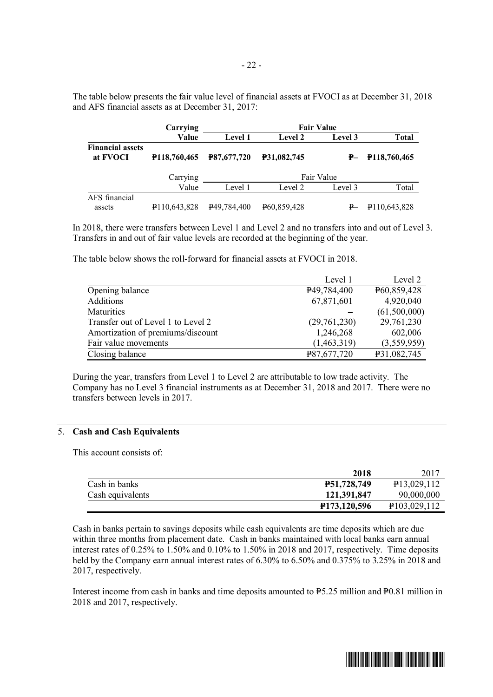The table below presents the fair value level of financial assets at FVOCI as at December 31, 2018 and AFS financial assets as at December 31, 2017:

|                                     | Carrying                    |                          | <b>Fair Value</b>        |            |              |
|-------------------------------------|-----------------------------|--------------------------|--------------------------|------------|--------------|
|                                     | Value                       | <b>Level 1</b>           | <b>Level 2</b>           | Level 3    | <b>Total</b> |
| <b>Financial assets</b><br>at FVOCI | P <sub>118</sub> , 760, 465 | <b>P87,677,720</b>       | <b>P31,082,745</b>       | ₽–         | P118,760,465 |
|                                     | Carrying                    |                          |                          | Fair Value |              |
|                                     | Value                       | Level 1                  | Level 2                  | Level 3    | Total        |
| AFS financial                       |                             |                          |                          |            |              |
| assets                              | P110,643,828                | P <sub>49</sub> ,784,400 | P <sub>60</sub> ,859,428 |            | P110,643,828 |

In 2018, there were transfers between Level 1 and Level 2 and no transfers into and out of Level 3. Transfers in and out of fair value levels are recorded at the beginning of the year.

The table below shows the roll-forward for financial assets at FVOCI in 2018.

|                                    | Level 1                  | Level 2      |
|------------------------------------|--------------------------|--------------|
| Opening balance                    | P <sub>49</sub> ,784,400 | P60,859,428  |
| Additions                          | 67,871,601               | 4,920,040    |
| Maturities                         |                          | (61,500,000) |
| Transfer out of Level 1 to Level 2 | (29,761,230)             | 29,761,230   |
| Amortization of premiums/discount  | 1,246,268                | 602,006      |
| Fair value movements               | (1,463,319)              | (3,559,959)  |
| Closing balance                    | P87,677,720              | P31,082,745  |

During the year, transfers from Level 1 to Level 2 are attributable to low trade activity. The Company has no Level 3 financial instruments as at December 31, 2018 and 2017. There were no transfers between levels in 2017.

## 5. **Cash and Cash Equivalents**

This account consists of:

|                  | 2018                        | 2017                      |
|------------------|-----------------------------|---------------------------|
| Cash in banks    | <b>P51,728,749</b>          | P <sub>13</sub> ,029,112  |
| Cash equivalents | 121,391,847                 | 90,000,000                |
|                  | P <sub>173</sub> , 120, 596 | P <sub>103</sub> ,029,112 |

Cash in banks pertain to savings deposits while cash equivalents are time deposits which are due within three months from placement date. Cash in banks maintained with local banks earn annual interest rates of 0.25% to 1.50% and 0.10% to 1.50% in 2018 and 2017, respectively. Time deposits held by the Company earn annual interest rates of 6.30% to 6.50% and 0.375% to 3.25% in 2018 and 2017, respectively.

Interest income from cash in banks and time deposits amounted to  $P_{5.25}$  million and  $P_{0.81}$  million in 2018 and 2017, respectively.

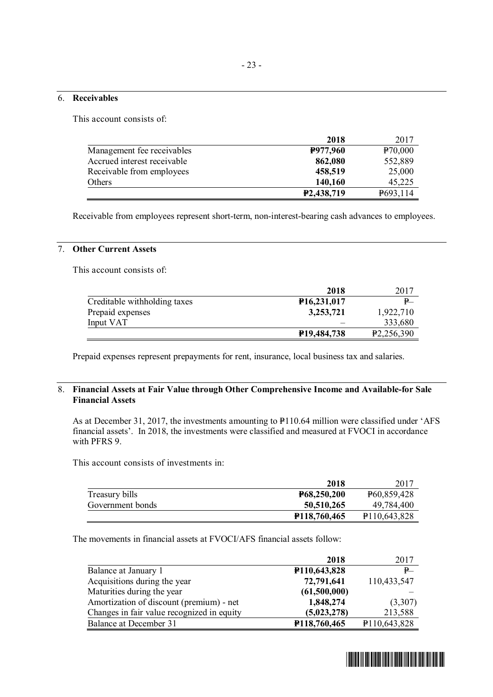#### 6. **Receivables**

This account consists of:

|                             | 2018                    | 2017     |
|-----------------------------|-------------------------|----------|
| Management fee receivables  | P977,960                | P70,000  |
| Accrued interest receivable | 862,080                 | 552,889  |
| Receivable from employees   | 458,519                 | 25,000   |
| Others                      | 140,160                 | 45,225   |
|                             | P <sub>2</sub> ,438,719 | P693,114 |

Receivable from employees represent short-term, non-interest-bearing cash advances to employees.

## 7. **Other Current Assets**

This account consists of:

|                              | 2018                     | 2017                    |
|------------------------------|--------------------------|-------------------------|
| Creditable withholding taxes | P <sub>16</sub> ,231,017 | $\mathbf{P}^-$          |
| Prepaid expenses             | 3,253,721                | 1,922,710               |
| Input VAT                    |                          | 333,680                 |
|                              | P <sub>19</sub> ,484,738 | P <sub>2</sub> ,256,390 |

Prepaid expenses represent prepayments for rent, insurance, local business tax and salaries.

## 8. **Financial Assets at Fair Value through Other Comprehensive Income and Available-for Sale Financial Assets**

As at December 31, 2017, the investments amounting to P110.64 million were classified under 'AFS financial assets'. In 2018, the investments were classified and measured at FVOCI in accordance with PFRS 9.

This account consists of investments in:

|                  | 2018                        | 2017                        |
|------------------|-----------------------------|-----------------------------|
| Treasury bills   | P68,250,200                 | P <sub>60</sub> ,859,428    |
| Government bonds | 50,510,265                  | 49,784,400                  |
|                  | P <sub>118</sub> , 760, 465 | P <sub>110</sub> , 643, 828 |

The movements in financial assets at FVOCI/AFS financial assets follow:

|                                            | 2018                        | 2017         |
|--------------------------------------------|-----------------------------|--------------|
| Balance at January 1                       | P <sub>110</sub> , 643, 828 | P            |
| Acquisitions during the year               | 72,791,641                  | 110,433,547  |
| Maturities during the year                 | (61,500,000)                |              |
| Amortization of discount (premium) - net   | 1,848,274                   | (3,307)      |
| Changes in fair value recognized in equity | (5,023,278)                 | 213,588      |
| Balance at December 31                     | P118,760,465                | P110,643,828 |

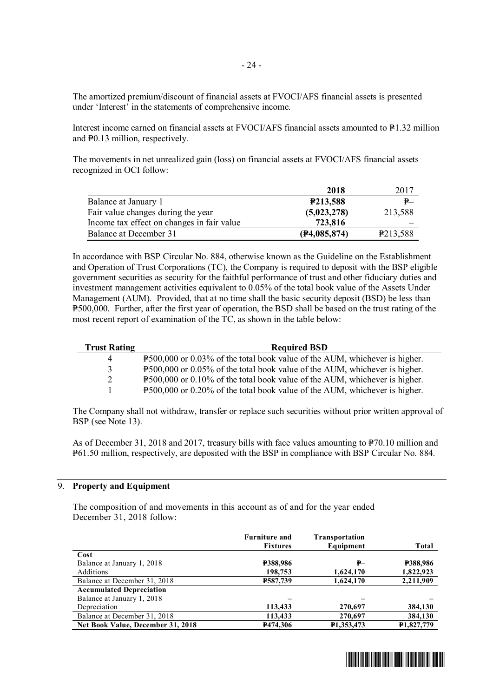The amortized premium/discount of financial assets at FVOCI/AFS financial assets is presented under 'Interest' in the statements of comprehensive income.

Interest income earned on financial assets at FVOCI/AFS financial assets amounted to  $P1.32$  million and P0.13 million, respectively.

The movements in net unrealized gain (loss) on financial assets at FVOCI/AFS financial assets recognized in OCI follow:

|                                            | 2018                  | 2017                 |
|--------------------------------------------|-----------------------|----------------------|
| Balance at January 1                       | P <sub>213</sub> ,588 | $\mathbf{P}^-$       |
| Fair value changes during the year         | (5,023,278)           | 213,588              |
| Income tax effect on changes in fair value | 723,816               |                      |
| Balance at December 31                     | (F4,085,874)          | P <sub>213,588</sub> |

In accordance with BSP Circular No. 884, otherwise known as the Guideline on the Establishment and Operation of Trust Corporations (TC), the Company is required to deposit with the BSP eligible government securities as security for the faithful performance of trust and other fiduciary duties and investment management activities equivalent to  $0.05\%$  of the total book value of the Assets Under Management (AUM). Provided, that at no time shall the basic security deposit (BSD) be less than P500,000. Further, after the first year of operation, the BSD shall be based on the trust rating of the most recent report of examination of the TC, as shown in the table below:

| <b>Trust Rating</b> | <b>Required BSD</b>                                                        |
|---------------------|----------------------------------------------------------------------------|
| 4                   | P500,000 or 0.03% of the total book value of the AUM, whichever is higher. |
| 3                   | P500,000 or 0.05% of the total book value of the AUM, whichever is higher. |
| 2                   | P500,000 or 0.10% of the total book value of the AUM, whichever is higher. |
|                     | P500,000 or 0.20% of the total book value of the AUM, whichever is higher. |

The Company shall not withdraw, transfer or replace such securities without prior written approval of BSP (see Note 13).

As of December 31, 2018 and 2017, treasury bills with face values amounting to  $\frac{1}{2}70.10$  million and P61.50 million, respectively, are deposited with the BSP in compliance with BSP Circular No. 884.

## 9. **Property and Equipment**

The composition of and movements in this account as of and for the year ended December 31, 2018 follow:

|                                   | <b>Furniture and</b><br><b>Fixtures</b> | <b>Transportation</b><br>Equipment | <b>Total</b>            |
|-----------------------------------|-----------------------------------------|------------------------------------|-------------------------|
| Cost                              |                                         |                                    |                         |
| Balance at January 1, 2018        | <b>P388,986</b>                         | ₽—                                 | <b>P388,986</b>         |
| Additions                         | 198,753                                 | 1,624,170                          | 1,822,923               |
| Balance at December 31, 2018      | <b>P587,739</b>                         | 1,624,170                          | 2,211,909               |
| <b>Accumulated Depreciation</b>   |                                         |                                    |                         |
| Balance at January 1, 2018        |                                         |                                    |                         |
| Depreciation                      | 113,433                                 | 270,697                            | 384,130                 |
| Balance at December 31, 2018      | 113,433                                 | 270,697                            | 384,130                 |
| Net Book Value, December 31, 2018 | <b>P474,306</b>                         | P1,353,473                         | P <sub>1</sub> ,827,779 |

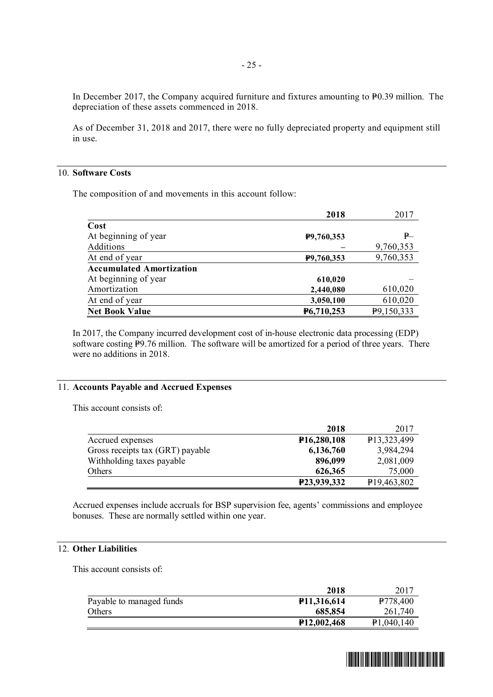In December 2017, the Company acquired furniture and fixtures amounting to  $P_{0.39}$  million. The depreciation of these assets commenced in 2018.

As of December 31, 2018 and 2017, there were no fully depreciated property and equipment still in use.

## 10. **Software Costs**

The composition of and movements in this account follow:

|                                 | 2018       | 2017       |
|---------------------------------|------------|------------|
| Cost                            |            |            |
| At beginning of year            | P9,760,353 | P          |
| Additions                       |            | 9,760,353  |
| At end of year                  | P9,760,353 | 9,760,353  |
| <b>Accumulated Amortization</b> |            |            |
| At beginning of year            | 610,020    |            |
| Amortization                    | 2,440,080  | 610,020    |
| At end of year                  | 3,050,100  | 610,020    |
| <b>Net Book Value</b>           | P6,710,253 | P9,150,333 |

In 2017, the Company incurred development cost of in-house electronic data processing (EDP) software costing P9.76 million. The software will be amortized for a period of three years. There were no additions in 2018.

## 11. **Accounts Payable and Accrued Expenses**

This account consists of:

|                                  | 2018                     | 2017                     |
|----------------------------------|--------------------------|--------------------------|
| Accrued expenses                 | P <sub>16</sub> ,280,108 | P13,323,499              |
| Gross receipts tax (GRT) payable | 6,136,760                | 3,984,294                |
| Withholding taxes payable        | 896,099                  | 2,081,009                |
| <b>Others</b>                    | 626,365                  | 75,000                   |
|                                  | P23,939,332              | P <sub>19</sub> ,463,802 |

Accrued expenses include accruals for BSP supervision fee, agents' commissions and employee bonuses. These are normally settled within one year.

## 12. **Other Liabilities**

This account consists of:

|                          | 2018                     | 2017                 |
|--------------------------|--------------------------|----------------------|
| Payable to managed funds | P <sub>11</sub> ,316,614 | P <sub>778,400</sub> |
| Others                   | 685,854                  | 261,740              |
|                          | P <sub>12</sub> ,002,468 | P1,040,140           |

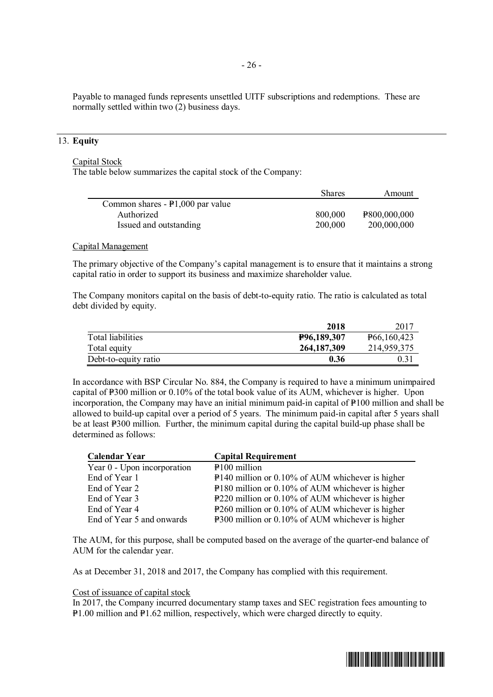Payable to managed funds represents unsettled UITF subscriptions and redemptions. These are normally settled within two (2) business days.

## 13. **Equity**

## Capital Stock

The table below summarizes the capital stock of the Company:

|                                    | <b>Shares</b> | Amount       |
|------------------------------------|---------------|--------------|
| Common shares $- P1,000$ par value |               |              |
| Authorized                         | 800,000       | P800,000,000 |
| Issued and outstanding             | 200,000       | 200,000,000  |

#### Capital Management

The primary objective of the Company's capital management is to ensure that it maintains a strong capital ratio in order to support its business and maximize shareholder value.

The Company monitors capital on the basis of debt-to-equity ratio. The ratio is calculated as total debt divided by equity.

|                      | 2018          | 2017                       |
|----------------------|---------------|----------------------------|
| Total liabilities    | P96,189,307   | P <sub>66</sub> , 160, 423 |
| Total equity         | 264, 187, 309 | 214,959,375                |
| Debt-to-equity ratio | 0.36          |                            |

In accordance with BSP Circular No. 884, the Company is required to have a minimum unimpaired capital of  $P_{300}$  million or 0.10% of the total book value of its AUM, whichever is higher. Upon incorporation, the Company may have an initial minimum paid-in capital of  $P100$  million and shall be allowed to build-up capital over a period of 5 years. The minimum paid-in capital after 5 years shall be at least P300 million. Further, the minimum capital during the capital build-up phase shall be determined as follows:

| <b>Calendar Year</b>        | <b>Capital Requirement</b>                         |
|-----------------------------|----------------------------------------------------|
| Year 0 - Upon incorporation | P <sub>100</sub> million                           |
| End of Year 1               | $P140$ million or 0.10% of AUM whichever is higher |
| End of Year 2               | P180 million or 0.10% of AUM whichever is higher   |
| End of Year 3               | P220 million or 0.10% of AUM whichever is higher   |
| End of Year 4               | P260 million or 0.10% of AUM whichever is higher   |
| End of Year 5 and onwards   | P300 million or 0.10% of AUM whichever is higher   |

The AUM, for this purpose, shall be computed based on the average of the quarter-end balance of AUM for the calendar year.

As at December 31, 2018 and 2017, the Company has complied with this requirement.

## Cost of issuance of capital stock

In 2017, the Company incurred documentary stamp taxes and SEC registration fees amounting to P1.00 million and P1.62 million, respectively, which were charged directly to equity.

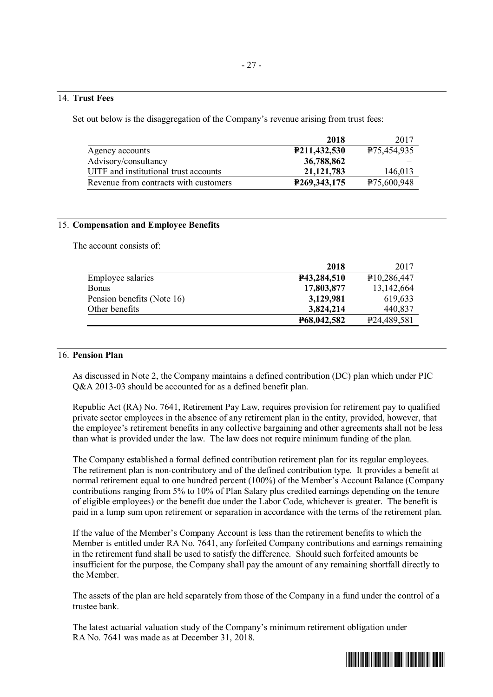## 14. **Trust Fees**

Set out below is the disaggregation of the Company's revenue arising from trust fees:

|                                       | 2018                        | 2017                     |
|---------------------------------------|-----------------------------|--------------------------|
| Agency accounts                       | P211,432,530                | P <sub>75</sub> ,454,935 |
| Advisory/consultancy                  | 36,788,862                  |                          |
| UITF and institutional trust accounts | 21, 121, 783                | 146,013                  |
| Revenue from contracts with customers | P <sub>269</sub> , 343, 175 | P <sub>75</sub> ,600,948 |

## 15. **Compensation and Employee Benefits**

The account consists of:

|                            | 2018        | 2017                     |
|----------------------------|-------------|--------------------------|
| Employee salaries          | P43,284,510 | P <sub>10</sub> ,286,447 |
| <b>Bonus</b>               | 17,803,877  | 13,142,664               |
| Pension benefits (Note 16) | 3,129,981   | 619,633                  |
| Other benefits             | 3,824,214   | 440,837                  |
|                            | P68,042,582 | P <sub>24</sub> ,489,581 |

## 16. **Pension Plan**

As discussed in Note 2, the Company maintains a defined contribution (DC) plan which under PIC Q&A 2013-03 should be accounted for as a defined benefit plan.

Republic Act (RA) No. 7641, Retirement Pay Law, requires provision for retirement pay to qualified private sector employees in the absence of any retirement plan in the entity, provided, however, that the employee's retirement benefits in any collective bargaining and other agreements shall not be less than what is provided under the law. The law does not require minimum funding of the plan.

The Company established a formal defined contribution retirement plan for its regular employees. The retirement plan is non-contributory and of the defined contribution type. It provides a benefit at normal retirement equal to one hundred percent (100%) of the Member's Account Balance (Company contributions ranging from 5% to 10% of Plan Salary plus credited earnings depending on the tenure of eligible employees) or the benefit due under the Labor Code, whichever is greater. The benefit is paid in a lump sum upon retirement or separation in accordance with the terms of the retirement plan.

If the value of the Member's Company Account is less than the retirement benefits to which the Member is entitled under RA No. 7641, any forfeited Company contributions and earnings remaining in the retirement fund shall be used to satisfy the difference. Should such forfeited amounts be insufficient for the purpose, the Company shall pay the amount of any remaining shortfall directly to the Member.

The assets of the plan are held separately from those of the Company in a fund under the control of a trustee bank.

The latest actuarial valuation study of the Company's minimum retirement obligation under RA No. 7641 was made as at December 31, 2018.

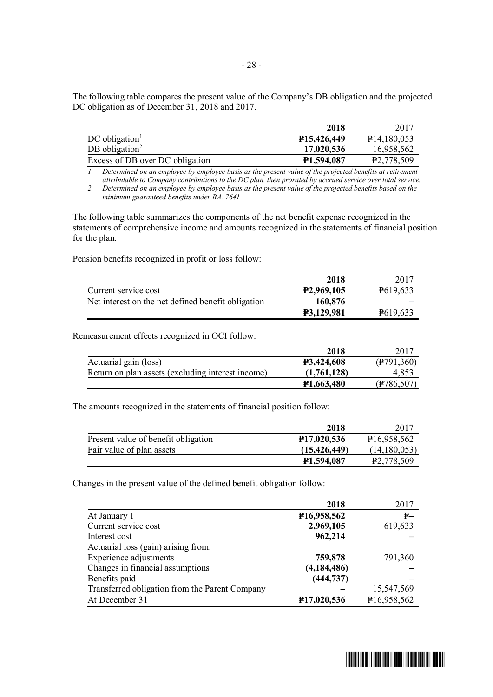The following table compares the present value of the Company's DB obligation and the projected DC obligation as of December 31, 2018 and 2017.

|                                 | 2018                    | 2017                    |
|---------------------------------|-------------------------|-------------------------|
| $DC$ obligation <sup>1</sup>    | <b>P15.426.449</b>      | $\text{P}14,180,053$    |
| DB obligation <sup>2</sup>      | 17,020,536              | 16.958.562              |
| Excess of DB over DC obligation | P <sub>1</sub> ,594,087 | P <sub>2</sub> ,778,509 |

*1. Determined on an employee by employee basis as the present value of the projected benefits at retirement attributable to Company contributions to the DC plan, then prorated by accrued service over total service.*

*2. Determined on an employee by employee basis as the present value of the projected benefits based on the minimum guaranteed benefits under RA. 7641*

The following table summarizes the components of the net benefit expense recognized in the statements of comprehensive income and amounts recognized in the statements of financial position for the plan.

Pension benefits recognized in profit or loss follow:

|                                                    | 2018                    | 2017                  |
|----------------------------------------------------|-------------------------|-----------------------|
| Current service cost                               | P <sub>2</sub> ,969,105 | P <sub>6</sub> 19,633 |
| Net interest on the net defined benefit obligation | 160,876                 |                       |
|                                                    | <b>P3,129,981</b>       | P619,633              |

Remeasurement effects recognized in OCI follow:

|                                                   | 2018                    | 2017                   |
|---------------------------------------------------|-------------------------|------------------------|
| Actuarial gain (loss)                             | <b>P3,424,608</b>       | $(\frac{1}{2}791,360)$ |
| Return on plan assets (excluding interest income) | (1,761,128)             | 4.853                  |
|                                                   | P <sub>1</sub> ,663,480 | (F786, 507)            |

The amounts recognized in the statements of financial position follow:

|                                     | 2018                     | 2017                     |
|-------------------------------------|--------------------------|--------------------------|
| Present value of benefit obligation | P <sub>17</sub> ,020,536 | P <sub>16</sub> ,958,562 |
| Fair value of plan assets           | (15, 426, 449)           | (14,180,053)             |
|                                     | P <sub>1</sub> ,594,087  | P <sub>2</sub> ,778,509  |

Changes in the present value of the defined benefit obligation follow:

|                                                | 2018          | 2017        |
|------------------------------------------------|---------------|-------------|
| At January 1                                   | P16,958,562   | P           |
| Current service cost                           | 2,969,105     | 619,633     |
| Interest cost                                  | 962,214       |             |
| Actuarial loss (gain) arising from:            |               |             |
| Experience adjustments                         | 759,878       | 791,360     |
| Changes in financial assumptions               | (4, 184, 486) |             |
| Benefits paid                                  | (444, 737)    |             |
| Transferred obligation from the Parent Company |               | 15,547,569  |
| At December 31                                 | P17,020,536   | P16,958,562 |

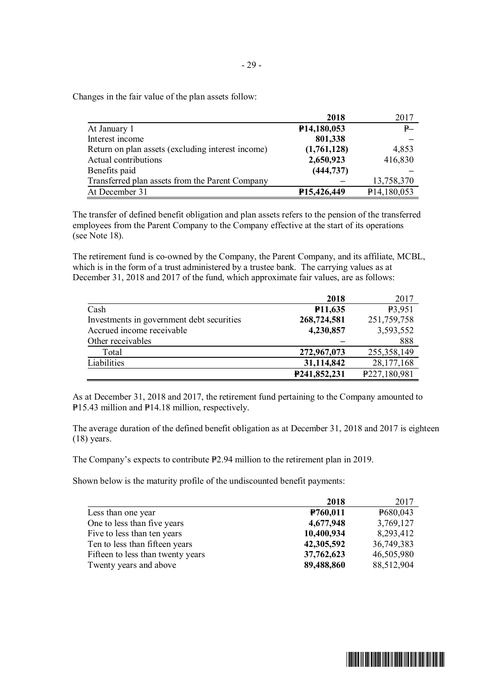Changes in the fair value of the plan assets follow:

|                                                   | 2018                     | 2017        |
|---------------------------------------------------|--------------------------|-------------|
| At January 1                                      | P <sub>14</sub> ,180,053 | P           |
| Interest income                                   | 801,338                  |             |
| Return on plan assets (excluding interest income) | (1,761,128)              | 4,853       |
| Actual contributions                              | 2,650,923                | 416,830     |
| Benefits paid                                     | (444, 737)               |             |
| Transferred plan assets from the Parent Company   |                          | 13,758,370  |
| At December 31                                    | P15,426,449              | P14,180,053 |

The transfer of defined benefit obligation and plan assets refers to the pension of the transferred employees from the Parent Company to the Company effective at the start of its operations (see Note 18).

The retirement fund is co-owned by the Company, the Parent Company, and its affiliate, MCBL, which is in the form of a trust administered by a trustee bank. The carrying values as at December 31, 2018 and 2017 of the fund, which approximate fair values, are as follows:

|                                           | 2018                 | 2017          |
|-------------------------------------------|----------------------|---------------|
| Cash                                      | P <sub>11</sub> ,635 | P3,951        |
| Investments in government debt securities | 268,724,581          | 251,759,758   |
| Accrued income receivable                 | 4,230,857            | 3,593,552     |
| Other receivables                         |                      | 888           |
| Total                                     | 272,967,073          | 255, 358, 149 |
| Liabilities                               | 31,114,842           | 28,177,168    |
|                                           | P241,852,231         | P227,180,981  |

As at December 31, 2018 and 2017, the retirement fund pertaining to the Company amounted to P15.43 million and P14.18 million, respectively.

The average duration of the defined benefit obligation as at December 31, 2018 and 2017 is eighteen (18) years.

The Company's expects to contribute P2.94 million to the retirement plan in 2019.

Shown below is the maturity profile of the undiscounted benefit payments:

|                                   | 2018                  | 2017       |
|-----------------------------------|-----------------------|------------|
| Less than one year                | P <sub>760</sub> ,011 | P680,043   |
| One to less than five years       | 4,677,948             | 3,769,127  |
| Five to less than ten years       | 10,400,934            | 8,293,412  |
| Ten to less than fifteen years    | 42,305,592            | 36,749,383 |
| Fifteen to less than twenty years | 37,762,623            | 46,505,980 |
| Twenty years and above            | 89,488,860            | 88,512,904 |

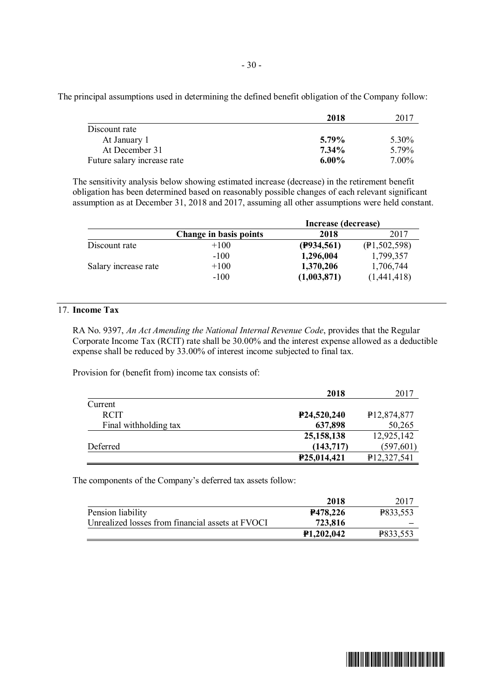The principal assumptions used in determining the defined benefit obligation of the Company follow:

|                             | 2018     | 2017  |
|-----------------------------|----------|-------|
| Discount rate               |          |       |
| At January 1                | 5.79%    | 5.30% |
| At December 31              | $7.34\%$ | 5.79% |
| Future salary increase rate | $6.00\%$ | 7.00% |

The sensitivity analysis below showing estimated increase (decrease) in the retirement benefit obligation has been determined based on reasonably possible changes of each relevant significant assumption as at December 31, 2018 and 2017, assuming all other assumptions were held constant.

|                      |                        | Increase (decrease) |              |
|----------------------|------------------------|---------------------|--------------|
|                      | Change in basis points | 2018                | 2017         |
| Discount rate        | $+100$                 | (P934, 561)         | (P1,502,598) |
|                      | $-100$                 | 1,296,004           | 1,799,357    |
| Salary increase rate | $+100$                 | 1,370,206           | 1,706,744    |
|                      | $-100$                 | (1,003,871)         | (1,441,418)  |

## 17. **Income Tax**

RA No. 9397, *An Act Amending the National Internal Revenue Code*, provides that the Regular Corporate Income Tax (RCIT) rate shall be 30.00% and the interest expense allowed as a deductible expense shall be reduced by 33.00% of interest income subjected to final tax.

Provision for (benefit from) income tax consists of:

|                       | 2018                     | 2017                     |
|-----------------------|--------------------------|--------------------------|
| Current               |                          |                          |
| <b>RCIT</b>           | P <sub>24</sub> ,520,240 | P <sub>12</sub> ,874,877 |
| Final withholding tax | 637,898                  | 50,265                   |
|                       | 25, 158, 138             | 12,925,142               |
| Deferred              | (143,717)                | (597, 601)               |
|                       | P25,014,421              | P12,327,541              |

The components of the Company's deferred tax assets follow:

|                                                  | 2018                    | 2017     |
|--------------------------------------------------|-------------------------|----------|
| Pension liability                                | P478,226                | P833,553 |
| Unrealized losses from financial assets at FVOCI | 723,816                 |          |
|                                                  | P <sub>1</sub> ,202,042 | P833,553 |

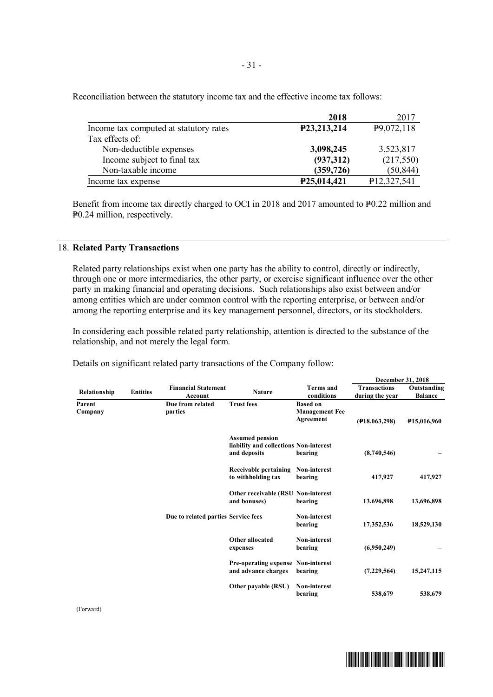|                                        | 2018        | 2017                    |
|----------------------------------------|-------------|-------------------------|
| Income tax computed at statutory rates | P23,213,214 | P <sub>9</sub> ,072,118 |
| Tax effects of:                        |             |                         |
| Non-deductible expenses                | 3,098,245   | 3,523,817               |
| Income subject to final tax            | (937,312)   | (217,550)               |
| Non-taxable income                     | (359, 726)  | (50, 844)               |
| Income tax expense                     | P25,014,421 | P12,327,541             |

Reconciliation between the statutory income tax and the effective income tax follows:

Benefit from income tax directly charged to OCI in 2018 and 2017 amounted to P0.22 million and P<sub>0.24</sub> million, respectively.

## 18. **Related Party Transactions**

Related party relationships exist when one party has the ability to control, directly or indirectly, through one or more intermediaries, the other party, or exercise significant influence over the other party in making financial and operating decisions. Such relationships also exist between and/or among entities which are under common control with the reporting enterprise, or between and/or among the reporting enterprise and its key management personnel, directors, or its stockholders.

In considering each possible related party relationship, attention is directed to the substance of the relationship, and not merely the legal form.

Details on significant related party transactions of the Company follow:

|                                     |                                                                  |                                                                                  |                                |                                                       |                                        | December 31, 2018             |
|-------------------------------------|------------------------------------------------------------------|----------------------------------------------------------------------------------|--------------------------------|-------------------------------------------------------|----------------------------------------|-------------------------------|
| Relationship                        | <b>Entities</b>                                                  | <b>Financial Statement</b><br>Account                                            | <b>Nature</b>                  | <b>Terms</b> and<br>conditions                        | <b>Transactions</b><br>during the year | Outstanding<br><b>Balance</b> |
| Parent<br>Company                   |                                                                  | Due from related<br>parties                                                      | <b>Trust fees</b>              | <b>Based on</b><br><b>Management Fee</b><br>Agreement | (F18,063,298)                          | <b>P15,016,960</b>            |
| Due to related parties Service fees |                                                                  | <b>Assumed pension</b><br>liability and collections Non-interest<br>and deposits | bearing                        | (8,740,546)                                           |                                        |                               |
|                                     |                                                                  | Receivable pertaining<br>to withholding tax                                      | <b>Non-interest</b><br>bearing | 417,927                                               | 417,927                                |                               |
|                                     |                                                                  | <b>Other receivable (RSU Non-interest)</b><br>and bonuses)                       | bearing                        | 13,696,898                                            | 13,696,898                             |                               |
|                                     |                                                                  | <b>Non-interest</b><br>bearing                                                   | 17,352,536                     | 18,529,130                                            |                                        |                               |
|                                     | Other allocated<br>expenses                                      | <b>Non-interest</b><br>bearing                                                   | (6,950,249)                    |                                                       |                                        |                               |
|                                     | <b>Pre-operating expense Non-interest</b><br>and advance charges | bearing                                                                          | (7,229,564)                    | 15,247,115                                            |                                        |                               |
|                                     |                                                                  |                                                                                  | Other payable (RSU)            | <b>Non-interest</b><br>bearing                        | 538,679                                | 538,679                       |

(Forward)

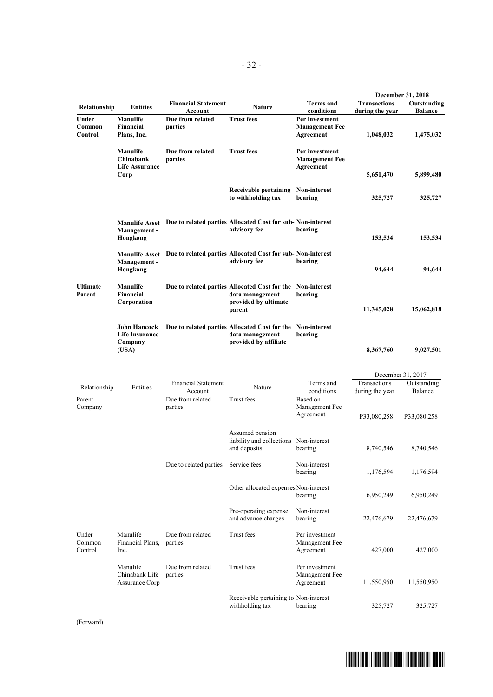|                            |                                                         |                                       |                                                                                                                 |                                                      | December 31, 2018                      |                               |
|----------------------------|---------------------------------------------------------|---------------------------------------|-----------------------------------------------------------------------------------------------------------------|------------------------------------------------------|----------------------------------------|-------------------------------|
| Relationship               | <b>Entities</b>                                         | <b>Financial Statement</b><br>Account | <b>Nature</b>                                                                                                   | <b>Terms and</b><br>conditions                       | <b>Transactions</b><br>during the year | Outstanding<br><b>Balance</b> |
| Under<br>Common<br>Control | Manulife<br>Financial<br>Plans, Inc.                    | Due from related<br>parties           | <b>Trust fees</b>                                                                                               | Per investment<br><b>Management Fee</b><br>Agreement | 1,048,032                              | 1,475,032                     |
|                            | Manulife<br>Chinabank<br><b>Life Assurance</b><br>Corp  | Due from related<br>parties           | <b>Trust fees</b>                                                                                               | Per investment<br><b>Management Fee</b><br>Agreement | 5,651,470                              | 5,899,480                     |
|                            |                                                         |                                       | Receivable pertaining<br>to withholding tax                                                                     | Non-interest<br>bearing                              | 325,727                                | 325,727                       |
|                            | <b>Manulife Asset</b><br>Management-<br>Hongkong        |                                       | Due to related parties Allocated Cost for sub-Non-interest<br>advisory fee                                      | bearing                                              | 153,534                                | 153,534                       |
|                            | <b>Manulife Asset</b><br>Management-<br>Hongkong        |                                       | Due to related parties Allocated Cost for sub-Non-interest<br>advisory fee                                      | bearing                                              | 94.644                                 | 94.644                        |
| <b>Ultimate</b><br>Parent  | Manulife<br>Financial<br>Corporation                    |                                       | Due to related parties Allocated Cost for the Non-interest<br>data management<br>provided by ultimate<br>parent | bearing                                              | 11,345,028                             | 15,062,818                    |
|                            | <b>John Hancock</b><br><b>Life Insurance</b><br>Company |                                       | Due to related parties Allocated Cost for the Non-interest<br>data management<br>provided by affiliate          | bearing                                              |                                        |                               |
|                            | (USA)                                                   |                                       |                                                                                                                 |                                                      | 8,367,760                              | 9,027,501                     |

|                            |                                              |                                       |                                                                           |                                               |                                 | December 31, 2017      |
|----------------------------|----------------------------------------------|---------------------------------------|---------------------------------------------------------------------------|-----------------------------------------------|---------------------------------|------------------------|
| Relationship               | Entities                                     | <b>Financial Statement</b><br>Account | Nature                                                                    | Terms and<br>conditions                       | Transactions<br>during the year | Outstanding<br>Balance |
| Parent<br>Company          |                                              | Due from related<br>parties           | Trust fees                                                                | Based on<br>Management Fee<br>Agreement       | P33,080,258                     | P33,080,258            |
|                            |                                              |                                       | Assumed pension<br>liability and collections Non-interest<br>and deposits | bearing                                       | 8,740,546                       | 8,740,546              |
|                            | Due to related parties                       | Service fees                          | Non-interest<br>bearing                                                   | 1,176,594                                     | 1,176,594                       |                        |
|                            |                                              |                                       | Other allocated expenses Non-interest                                     | bearing                                       | 6,950,249                       | 6,950,249              |
|                            |                                              |                                       | Pre-operating expense<br>and advance charges                              | Non-interest<br>bearing                       | 22,476,679                      | 22,476,679             |
| Under<br>Common<br>Control | Manulife<br>Financial Plans,<br>Inc.         | Due from related<br>parties           | Trust fees                                                                | Per investment<br>Management Fee<br>Agreement | 427,000                         | 427,000                |
|                            | Manulife<br>Chinabank Life<br>Assurance Corp | Due from related<br>parties           | Trust fees                                                                | Per investment<br>Management Fee<br>Agreement | 11,550,950                      | 11,550,950             |
|                            |                                              |                                       | Receivable pertaining to Non-interest<br>withholding tax                  | bearing                                       | 325,727                         | 325,727                |

(Forward)



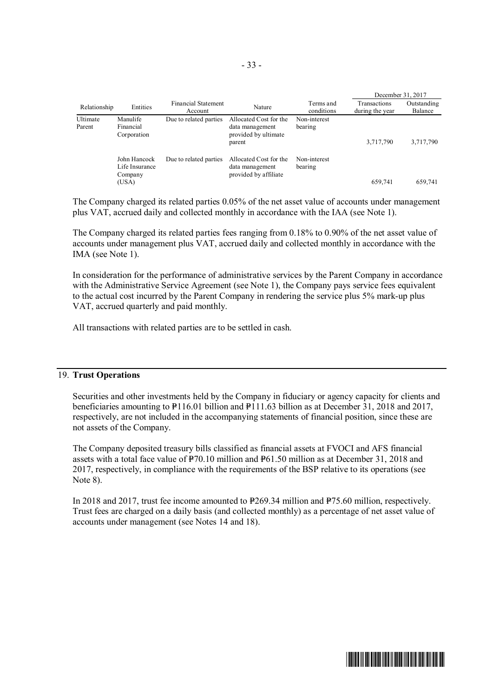|                    |                                                    |                                |                                                                             |                         |                                 | December 31, 2017      |
|--------------------|----------------------------------------------------|--------------------------------|-----------------------------------------------------------------------------|-------------------------|---------------------------------|------------------------|
| Relationship       | Entities                                           | Financial Statement<br>Account | Nature                                                                      | Terms and<br>conditions | Transactions<br>during the year | Outstanding<br>Balance |
| Ultimate<br>Parent | Manulife<br>Financial<br>Corporation               | Due to related parties         | Allocated Cost for the<br>data management<br>provided by ultimate<br>parent | Non-interest<br>bearing | 3,717,790                       | 3,717,790              |
|                    | John Hancock<br>Life Insurance<br>Company<br>(USA) | Due to related parties         | Allocated Cost for the<br>data management<br>provided by affiliate          | Non-interest<br>bearing | 659,741                         | 659,741                |

The Company charged its related parties 0.05% of the net asset value of accounts under management plus VAT, accrued daily and collected monthly in accordance with the IAA (see Note 1).

The Company charged its related parties fees ranging from 0.18% to 0.90% of the net asset value of accounts under management plus VAT, accrued daily and collected monthly in accordance with the IMA (see Note 1).

In consideration for the performance of administrative services by the Parent Company in accordance with the Administrative Service Agreement (see Note 1), the Company pays service fees equivalent to the actual cost incurred by the Parent Company in rendering the service plus 5% mark-up plus VAT, accrued quarterly and paid monthly.

All transactions with related parties are to be settled in cash.

## 19. **Trust Operations**

Securities and other investments held by the Company in fiduciary or agency capacity for clients and beneficiaries amounting to  $P116.01$  billion and  $P111.63$  billion as at December 31, 2018 and 2017, respectively, are not included in the accompanying statements of financial position, since these are not assets of the Company.

The Company deposited treasury bills classified as financial assets at FVOCI and AFS financial assets with a total face value of  $\overline{P}70.10$  million and  $\overline{P}61.50$  million as at December 31, 2018 and 2017, respectively, in compliance with the requirements of the BSP relative to its operations (see Note 8).

In 2018 and 2017, trust fee income amounted to  $P269.34$  million and P75.60 million, respectively. Trust fees are charged on a daily basis (and collected monthly) as a percentage of net asset value of accounts under management (see Notes 14 and 18).